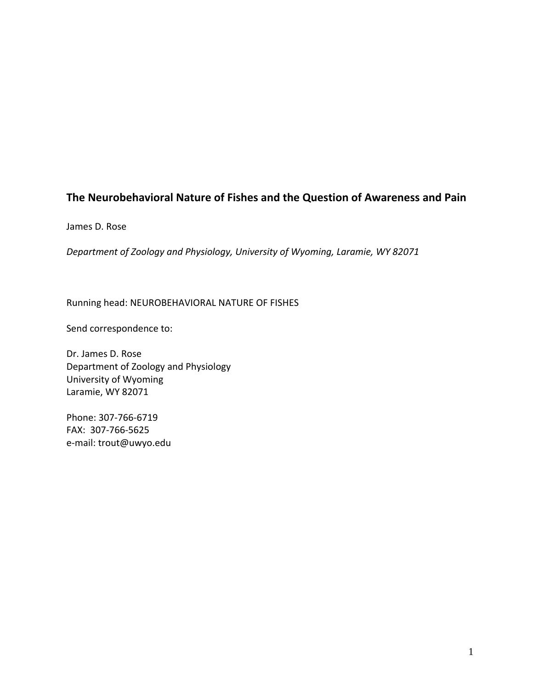### **The Neurobehavioral Nature of Fishes and the Question of Awareness and Pain**

James D. Rose

*Department of Zoology and Physiology, University of Wyoming, Laramie, WY 82071*

Running head: NEUROBEHAVIORAL NATURE OF FISHES

Send correspondence to:

Dr. James D. Rose Department of Zoology and Physiology University of Wyoming Laramie, WY 82071

Phone: 307‐766‐6719 FAX: 307‐766‐5625 e‐mail: trout@uwyo.edu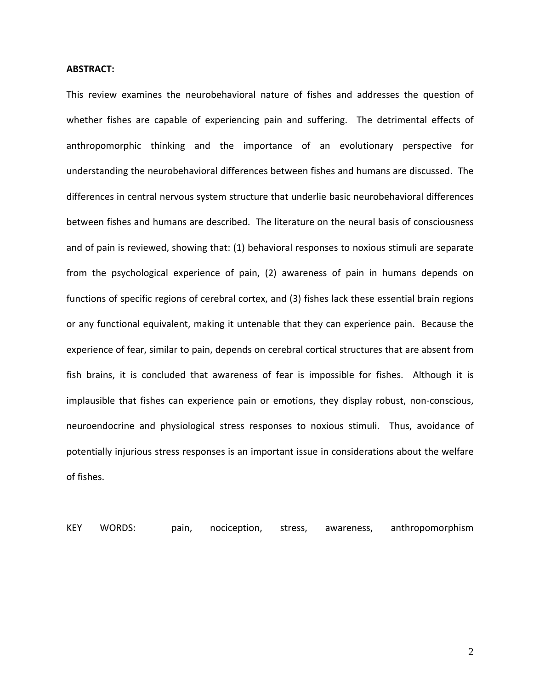#### **ABSTRACT:**

This review examines the neurobehavioral nature of fishes and addresses the question of whether fishes are capable of experiencing pain and suffering. The detrimental effects of anthropomorphic thinking and the importance of an evolutionary perspective for understanding the neurobehavioral differences between fishes and humans are discussed. The differences in central nervous system structure that underlie basic neurobehavioral differences between fishes and humans are described. The literature on the neural basis of consciousness and of pain is reviewed, showing that: (1) behavioral responses to noxious stimuli are separate from the psychological experience of pain, (2) awareness of pain in humans depends on functions of specific regions of cerebral cortex, and (3) fishes lack these essential brain regions or any functional equivalent, making it untenable that they can experience pain. Because the experience of fear, similar to pain, depends on cerebral cortical structures that are absent from fish brains, it is concluded that awareness of fear is impossible for fishes. Although it is implausible that fishes can experience pain or emotions, they display robust, non-conscious, neuroendocrine and physiological stress responses to noxious stimuli. Thus, avoidance of potentially injurious stress responses is an important issue in considerations about the welfare of fishes.

KEY WORDS: pain, nociception, stress, awareness, anthropomorphism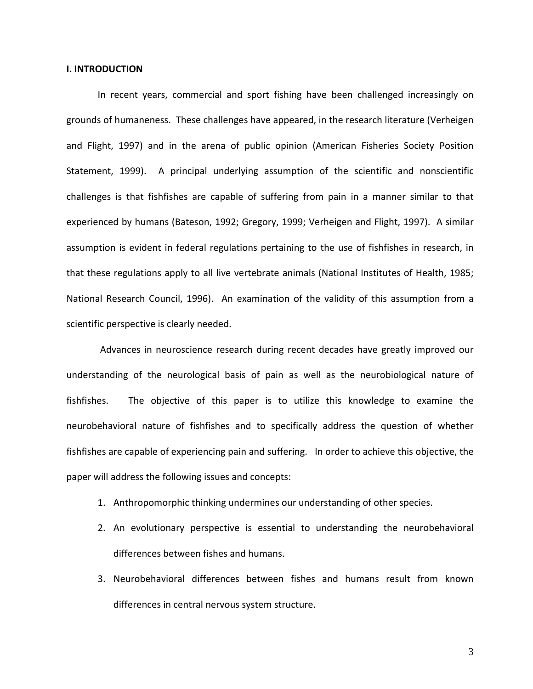#### **I. INTRODUCTION**

In recent years, commercial and sport fishing have been challenged increasingly on grounds of humaneness. These challenges have appeared, in the research literature (Verheigen and Flight, 1997) and in the arena of public opinion (American Fisheries Society Position Statement, 1999). A principal underlying assumption of the scientific and nonscientific challenges is that fishfishes are capable of suffering from pain in a manner similar to that experienced by humans (Bateson, 1992; Gregory, 1999; Verheigen and Flight, 1997). A similar assumption is evident in federal regulations pertaining to the use of fishfishes in research, in that these regulations apply to all live vertebrate animals (National Institutes of Health, 1985; National Research Council, 1996). An examination of the validity of this assumption from a scientific perspective is clearly needed.

Advances in neuroscience research during recent decades have greatly improved our understanding of the neurological basis of pain as well as the neurobiological nature of fishfishes. The objective of this paper is to utilize this knowledge to examine the neurobehavioral nature of fishfishes and to specifically address the question of whether fishfishes are capable of experiencing pain and suffering. In order to achieve this objective, the paper will address the following issues and concepts:

- 1. Anthropomorphic thinking undermines our understanding of other species.
- 2. An evolutionary perspective is essential to understanding the neurobehavioral differences between fishes and humans.
- 3. Neurobehavioral differences between fishes and humans result from known differences in central nervous system structure.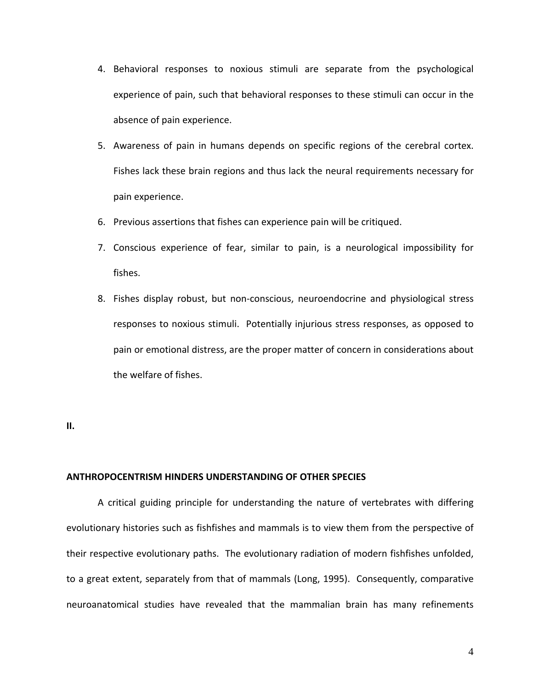- 4. Behavioral responses to noxious stimuli are separate from the psychological experience of pain, such that behavioral responses to these stimuli can occur in the absence of pain experience.
- 5. Awareness of pain in humans depends on specific regions of the cerebral cortex. Fishes lack these brain regions and thus lack the neural requirements necessary for pain experience.
- 6. Previous assertions that fishes can experience pain will be critiqued.
- 7. Conscious experience of fear, similar to pain, is a neurological impossibility for fishes.
- 8. Fishes display robust, but non‐conscious, neuroendocrine and physiological stress responses to noxious stimuli. Potentially injurious stress responses, as opposed to pain or emotional distress, are the proper matter of concern in considerations about the welfare of fishes.

**II.** 

#### **ANTHROPOCENTRISM HINDERS UNDERSTANDING OF OTHER SPECIES**

A critical guiding principle for understanding the nature of vertebrates with differing evolutionary histories such as fishfishes and mammals is to view them from the perspective of their respective evolutionary paths. The evolutionary radiation of modern fishfishes unfolded, to a great extent, separately from that of mammals (Long, 1995). Consequently, comparative neuroanatomical studies have revealed that the mammalian brain has many refinements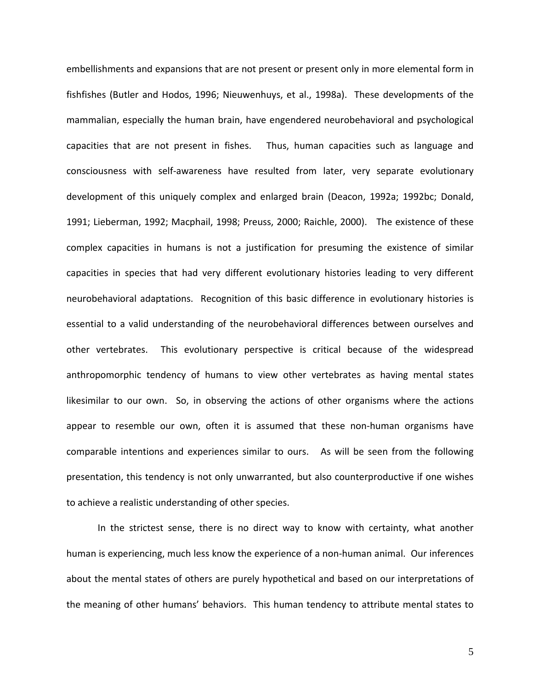embellishments and expansions that are not present or present only in more elemental form in fishfishes (Butler and Hodos, 1996; Nieuwenhuys, et al., 1998a). These developments of the mammalian, especially the human brain, have engendered neurobehavioral and psychological capacities that are not present in fishes. Thus, human capacities such as language and consciousness with self‐awareness have resulted from later, very separate evolutionary development of this uniquely complex and enlarged brain (Deacon, 1992a; 1992bc; Donald, 1991; Lieberman, 1992; Macphail, 1998; Preuss, 2000; Raichle, 2000). The existence of these complex capacities in humans is not a justification for presuming the existence of similar capacities in species that had very different evolutionary histories leading to very different neurobehavioral adaptations. Recognition of this basic difference in evolutionary histories is essential to a valid understanding of the neurobehavioral differences between ourselves and other vertebrates. This evolutionary perspective is critical because of the widespread anthropomorphic tendency of humans to view other vertebrates as having mental states likesimilar to our own. So, in observing the actions of other organisms where the actions appear to resemble our own, often it is assumed that these non-human organisms have comparable intentions and experiences similar to ours. As will be seen from the following presentation, this tendency is not only unwarranted, but also counterproductive if one wishes to achieve a realistic understanding of other species.

In the strictest sense, there is no direct way to know with certainty, what another human is experiencing, much less know the experience of a non-human animal. Our inferences about the mental states of others are purely hypothetical and based on our interpretations of the meaning of other humans' behaviors. This human tendency to attribute mental states to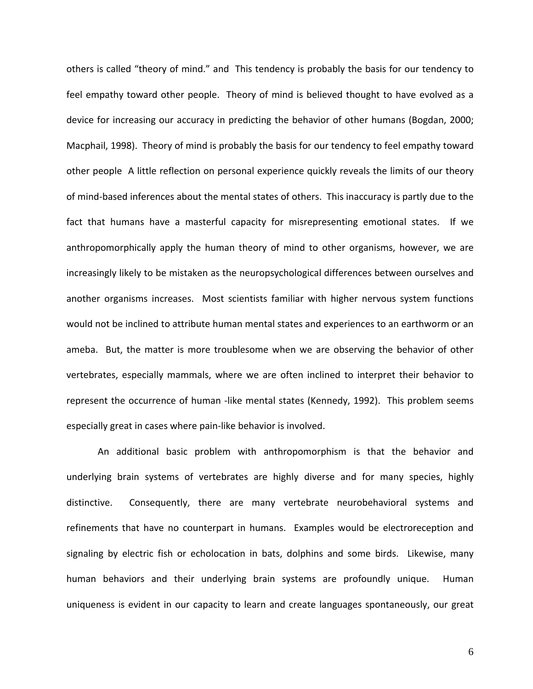others is called "theory of mind." and This tendency is probably the basis for our tendency to feel empathy toward other people. Theory of mind is believed thought to have evolved as a device for increasing our accuracy in predicting the behavior of other humans (Bogdan, 2000; Macphail, 1998). Theory of mind is probably the basis for our tendency to feel empathy toward other people A little reflection on personal experience quickly reveals the limits of our theory of mind‐based inferences about the mental states of others. This inaccuracy is partly due to the fact that humans have a masterful capacity for misrepresenting emotional states. If we anthropomorphically apply the human theory of mind to other organisms, however, we are increasingly likely to be mistaken as the neuropsychological differences between ourselves and another organisms increases. Most scientists familiar with higher nervous system functions would not be inclined to attribute human mental states and experiences to an earthworm or an ameba. But, the matter is more troublesome when we are observing the behavior of other vertebrates, especially mammals, where we are often inclined to interpret their behavior to represent the occurrence of human -like mental states (Kennedy, 1992). This problem seems especially great in cases where pain‐like behavior is involved.

An additional basic problem with anthropomorphism is that the behavior and underlying brain systems of vertebrates are highly diverse and for many species, highly distinctive. Consequently, there are many vertebrate neurobehavioral systems and refinements that have no counterpart in humans. Examples would be electroreception and signaling by electric fish or echolocation in bats, dolphins and some birds. Likewise, many human behaviors and their underlying brain systems are profoundly unique. Human uniqueness is evident in our capacity to learn and create languages spontaneously, our great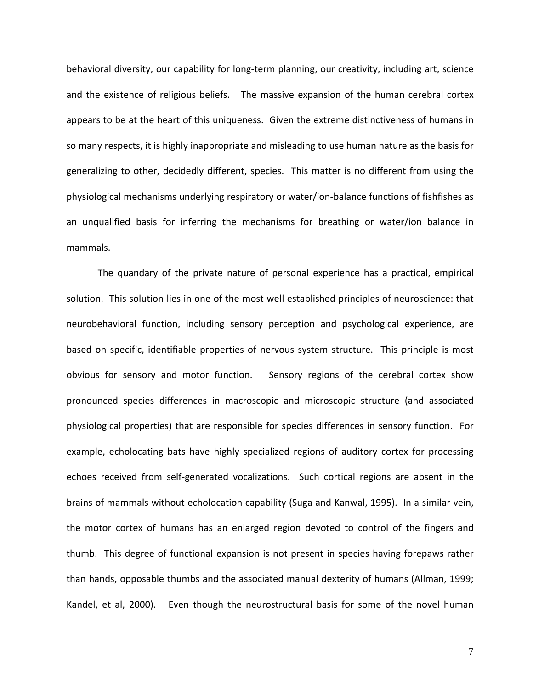behavioral diversity, our capability for long-term planning, our creativity, including art, science and the existence of religious beliefs. The massive expansion of the human cerebral cortex appears to be at the heart of this uniqueness. Given the extreme distinctiveness of humans in so many respects, it is highly inappropriate and misleading to use human nature as the basis for generalizing to other, decidedly different, species. This matter is no different from using the physiological mechanisms underlying respiratory or water/ion‐balance functions of fishfishes as an unqualified basis for inferring the mechanisms for breathing or water/ion balance in mammals.

The quandary of the private nature of personal experience has a practical, empirical solution. This solution lies in one of the most well established principles of neuroscience: that neurobehavioral function, including sensory perception and psychological experience, are based on specific, identifiable properties of nervous system structure. This principle is most obvious for sensory and motor function. Sensory regions of the cerebral cortex show pronounced species differences in macroscopic and microscopic structure (and associated physiological properties) that are responsible for species differences in sensory function. For example, echolocating bats have highly specialized regions of auditory cortex for processing echoes received from self-generated vocalizations. Such cortical regions are absent in the brains of mammals without echolocation capability (Suga and Kanwal, 1995). In a similar vein, the motor cortex of humans has an enlarged region devoted to control of the fingers and thumb. This degree of functional expansion is not present in species having forepaws rather than hands, opposable thumbs and the associated manual dexterity of humans (Allman, 1999; Kandel, et al, 2000). Even though the neurostructural basis for some of the novel human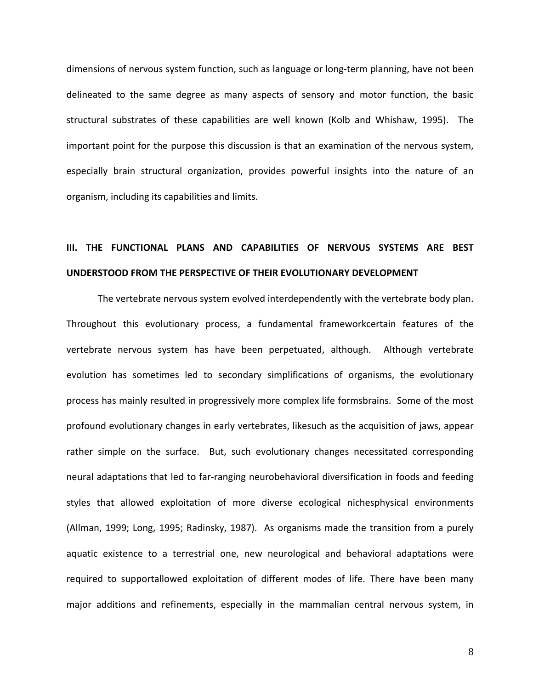dimensions of nervous system function, such as language or long‐term planning, have not been delineated to the same degree as many aspects of sensory and motor function, the basic structural substrates of these capabilities are well known (Kolb and Whishaw, 1995). The important point for the purpose this discussion is that an examination of the nervous system, especially brain structural organization, provides powerful insights into the nature of an organism, including its capabilities and limits.

### **III. THE FUNCTIONAL PLANS AND CAPABILITIES OF NERVOUS SYSTEMS ARE BEST UNDERSTOOD FROM THE PERSPECTIVE OF THEIR EVOLUTIONARY DEVELOPMENT**

The vertebrate nervous system evolved interdependently with the vertebrate body plan. Throughout this evolutionary process, a fundamental frameworkcertain features of the vertebrate nervous system has have been perpetuated, although. Although vertebrate evolution has sometimes led to secondary simplifications of organisms, the evolutionary process has mainly resulted in progressively more complex life formsbrains. Some of the most profound evolutionary changes in early vertebrates, likesuch as the acquisition of jaws, appear rather simple on the surface. But, such evolutionary changes necessitated corresponding neural adaptations that led to far‐ranging neurobehavioral diversification in foods and feeding styles that allowed exploitation of more diverse ecological nichesphysical environments (Allman, 1999; Long, 1995; Radinsky, 1987). As organisms made the transition from a purely aquatic existence to a terrestrial one, new neurological and behavioral adaptations were required to supportallowed exploitation of different modes of life. There have been many major additions and refinements, especially in the mammalian central nervous system, in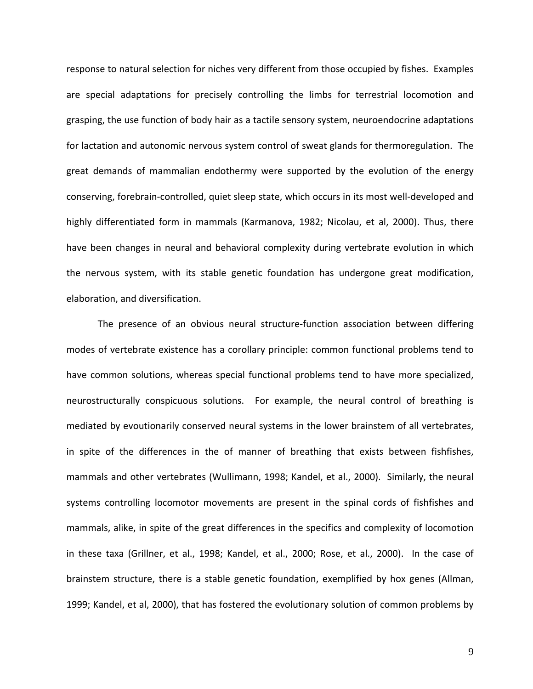response to natural selection for niches very different from those occupied by fishes. Examples are special adaptations for precisely controlling the limbs for terrestrial locomotion and grasping, the use function of body hair as a tactile sensory system, neuroendocrine adaptations for lactation and autonomic nervous system control of sweat glands for thermoregulation. The great demands of mammalian endothermy were supported by the evolution of the energy conserving, forebrain‐controlled, quiet sleep state, which occurs in its most well‐developed and highly differentiated form in mammals (Karmanova, 1982; Nicolau, et al, 2000). Thus, there have been changes in neural and behavioral complexity during vertebrate evolution in which the nervous system, with its stable genetic foundation has undergone great modification, elaboration, and diversification.

The presence of an obvious neural structure‐function association between differing modes of vertebrate existence has a corollary principle: common functional problems tend to have common solutions, whereas special functional problems tend to have more specialized, neurostructurally conspicuous solutions. For example, the neural control of breathing is mediated by evoutionarily conserved neural systems in the lower brainstem of all vertebrates, in spite of the differences in the of manner of breathing that exists between fishfishes, mammals and other vertebrates (Wullimann, 1998; Kandel, et al., 2000). Similarly, the neural systems controlling locomotor movements are present in the spinal cords of fishfishes and mammals, alike, in spite of the great differences in the specifics and complexity of locomotion in these taxa (Grillner, et al., 1998; Kandel, et al., 2000; Rose, et al., 2000). In the case of brainstem structure, there is a stable genetic foundation, exemplified by hox genes (Allman, 1999; Kandel, et al, 2000), that has fostered the evolutionary solution of common problems by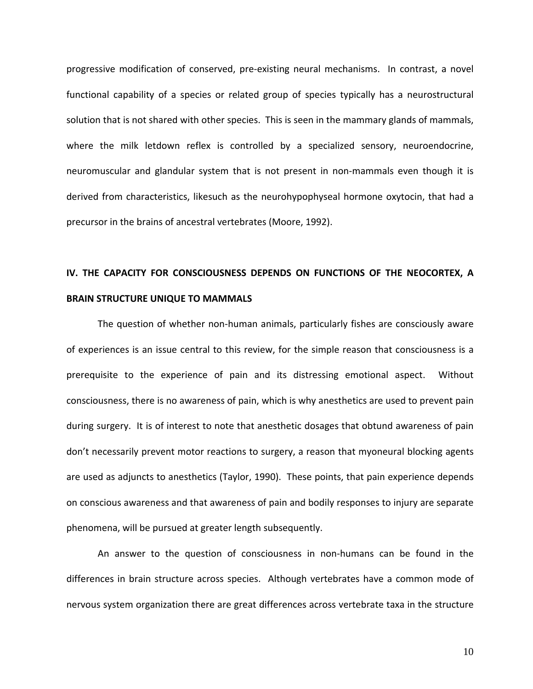progressive modification of conserved, pre‐existing neural mechanisms. In contrast, a novel functional capability of a species or related group of species typically has a neurostructural solution that is not shared with other species. This is seen in the mammary glands of mammals, where the milk letdown reflex is controlled by a specialized sensory, neuroendocrine, neuromuscular and glandular system that is not present in non-mammals even though it is derived from characteristics, likesuch as the neurohypophyseal hormone oxytocin, that had a precursor in the brains of ancestral vertebrates (Moore, 1992).

### **IV. THE CAPACITY FOR CONSCIOUSNESS DEPENDS ON FUNCTIONS OF THE NEOCORTEX, A BRAIN STRUCTURE UNIQUE TO MAMMALS**

The question of whether non‐human animals, particularly fishes are consciously aware of experiences is an issue central to this review, for the simple reason that consciousness is a prerequisite to the experience of pain and its distressing emotional aspect. Without consciousness, there is no awareness of pain, which is why anesthetics are used to prevent pain during surgery. It is of interest to note that anesthetic dosages that obtund awareness of pain don't necessarily prevent motor reactions to surgery, a reason that myoneural blocking agents are used as adjuncts to anesthetics (Taylor, 1990). These points, that pain experience depends on conscious awareness and that awareness of pain and bodily responses to injury are separate phenomena, will be pursued at greater length subsequently.

An answer to the question of consciousness in non‐humans can be found in the differences in brain structure across species. Although vertebrates have a common mode of nervous system organization there are great differences across vertebrate taxa in the structure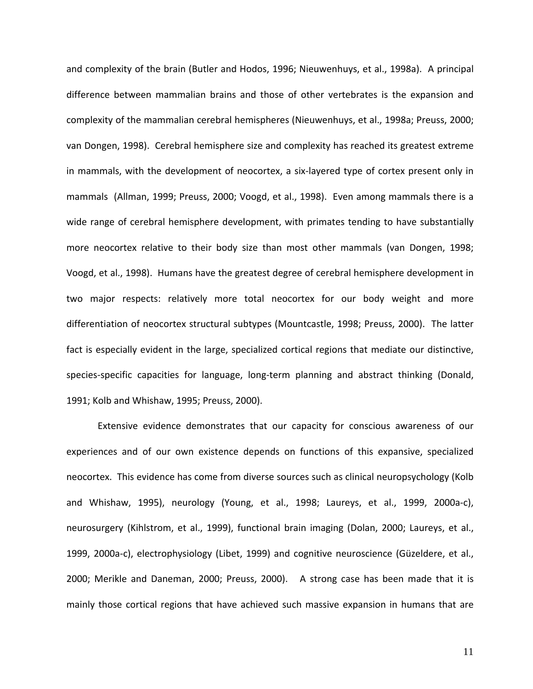and complexity of the brain (Butler and Hodos, 1996; Nieuwenhuys, et al., 1998a). A principal difference between mammalian brains and those of other vertebrates is the expansion and complexity of the mammalian cerebral hemispheres (Nieuwenhuys, et al., 1998a; Preuss, 2000; van Dongen, 1998). Cerebral hemisphere size and complexity has reached its greatest extreme in mammals, with the development of neocortex, a six‐layered type of cortex present only in mammals (Allman, 1999; Preuss, 2000; Voogd, et al., 1998). Even among mammals there is a wide range of cerebral hemisphere development, with primates tending to have substantially more neocortex relative to their body size than most other mammals (van Dongen, 1998; Voogd, et al., 1998). Humans have the greatest degree of cerebral hemisphere development in two major respects: relatively more total neocortex for our body weight and more differentiation of neocortex structural subtypes (Mountcastle, 1998; Preuss, 2000). The latter fact is especially evident in the large, specialized cortical regions that mediate our distinctive, species-specific capacities for language, long-term planning and abstract thinking (Donald, 1991; Kolb and Whishaw, 1995; Preuss, 2000).

Extensive evidence demonstrates that our capacity for conscious awareness of our experiences and of our own existence depends on functions of this expansive, specialized neocortex. This evidence has come from diverse sources such as clinical neuropsychology (Kolb and Whishaw, 1995), neurology (Young, et al., 1998; Laureys, et al., 1999, 2000a‐c), neurosurgery (Kihlstrom, et al., 1999), functional brain imaging (Dolan, 2000; Laureys, et al., 1999, 2000a‐c), electrophysiology (Libet, 1999) and cognitive neuroscience (Güzeldere, et al., 2000; Merikle and Daneman, 2000; Preuss, 2000). A strong case has been made that it is mainly those cortical regions that have achieved such massive expansion in humans that are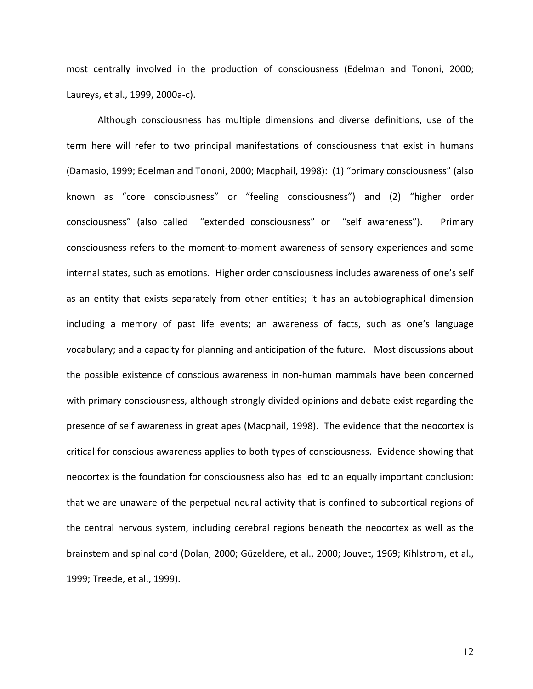most centrally involved in the production of consciousness (Edelman and Tononi, 2000; Laureys, et al., 1999, 2000a‐c).

Although consciousness has multiple dimensions and diverse definitions, use of the term here will refer to two principal manifestations of consciousness that exist in humans (Damasio, 1999; Edelman and Tononi, 2000; Macphail, 1998): (1) "primary consciousness" (also known as "core consciousness" or "feeling consciousness") and (2) "higher order consciousness" (also called "extended consciousness" or "self awareness"). Primary consciousness refers to the moment‐to‐moment awareness of sensory experiences and some internal states, such as emotions. Higher order consciousness includes awareness of one's self as an entity that exists separately from other entities; it has an autobiographical dimension including a memory of past life events; an awareness of facts, such as one's language vocabulary; and a capacity for planning and anticipation of the future. Most discussions about the possible existence of conscious awareness in non‐human mammals have been concerned with primary consciousness, although strongly divided opinions and debate exist regarding the presence of self awareness in great apes (Macphail, 1998). The evidence that the neocortex is critical for conscious awareness applies to both types of consciousness. Evidence showing that neocortex is the foundation for consciousness also has led to an equally important conclusion: that we are unaware of the perpetual neural activity that is confined to subcortical regions of the central nervous system, including cerebral regions beneath the neocortex as well as the brainstem and spinal cord (Dolan, 2000; Güzeldere, et al., 2000; Jouvet, 1969; Kihlstrom, et al., 1999; Treede, et al., 1999).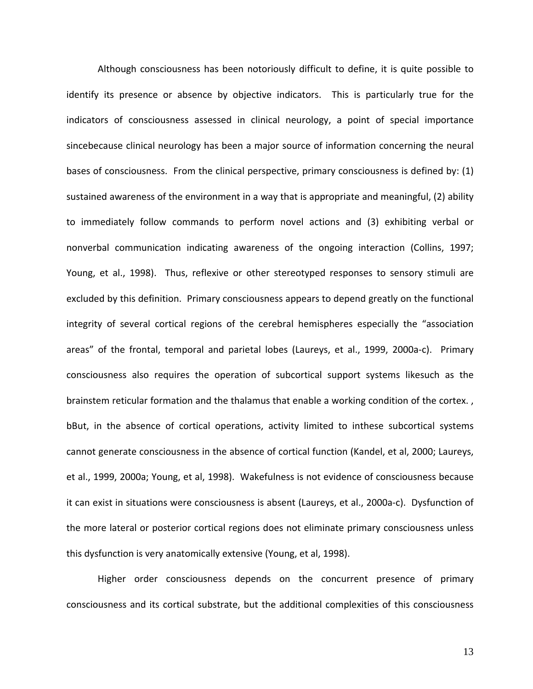Although consciousness has been notoriously difficult to define, it is quite possible to identify its presence or absence by objective indicators. This is particularly true for the indicators of consciousness assessed in clinical neurology, a point of special importance sincebecause clinical neurology has been a major source of information concerning the neural bases of consciousness. From the clinical perspective, primary consciousness is defined by: (1) sustained awareness of the environment in a way that is appropriate and meaningful, (2) ability to immediately follow commands to perform novel actions and (3) exhibiting verbal or nonverbal communication indicating awareness of the ongoing interaction (Collins, 1997; Young, et al., 1998). Thus, reflexive or other stereotyped responses to sensory stimuli are excluded by this definition. Primary consciousness appears to depend greatly on the functional integrity of several cortical regions of the cerebral hemispheres especially the "association areas" of the frontal, temporal and parietal lobes (Laureys, et al., 1999, 2000a‐c). Primary consciousness also requires the operation of subcortical support systems likesuch as the brainstem reticular formation and the thalamus that enable a working condition of the cortex. , bBut, in the absence of cortical operations, activity limited to inthese subcortical systems cannot generate consciousness in the absence of cortical function (Kandel, et al, 2000; Laureys, et al., 1999, 2000a; Young, et al, 1998). Wakefulness is not evidence of consciousness because it can exist in situations were consciousness is absent (Laureys, et al., 2000a‐c). Dysfunction of the more lateral or posterior cortical regions does not eliminate primary consciousness unless this dysfunction is very anatomically extensive (Young, et al, 1998).

Higher order consciousness depends on the concurrent presence of primary consciousness and its cortical substrate, but the additional complexities of this consciousness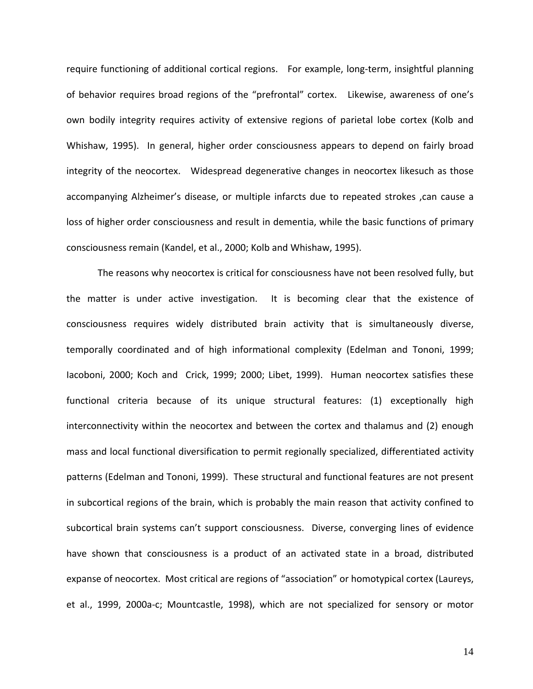require functioning of additional cortical regions. For example, long-term, insightful planning of behavior requires broad regions of the "prefrontal" cortex. Likewise, awareness of one's own bodily integrity requires activity of extensive regions of parietal lobe cortex (Kolb and Whishaw, 1995). In general, higher order consciousness appears to depend on fairly broad integrity of the neocortex. Widespread degenerative changes in neocortex likesuch as those accompanying Alzheimer's disease, or multiple infarcts due to repeated strokes ,can cause a loss of higher order consciousness and result in dementia, while the basic functions of primary consciousness remain (Kandel, et al., 2000; Kolb and Whishaw, 1995).

The reasons why neocortex is critical for consciousness have not been resolved fully, but the matter is under active investigation. It is becoming clear that the existence of consciousness requires widely distributed brain activity that is simultaneously diverse, temporally coordinated and of high informational complexity (Edelman and Tononi, 1999; Iacoboni, 2000; Koch and Crick, 1999; 2000; Libet, 1999). Human neocortex satisfies these functional criteria because of its unique structural features: (1) exceptionally high interconnectivity within the neocortex and between the cortex and thalamus and (2) enough mass and local functional diversification to permit regionally specialized, differentiated activity patterns (Edelman and Tononi, 1999). These structural and functional features are not present in subcortical regions of the brain, which is probably the main reason that activity confined to subcortical brain systems can't support consciousness. Diverse, converging lines of evidence have shown that consciousness is a product of an activated state in a broad, distributed expanse of neocortex. Most critical are regions of "association" or homotypical cortex (Laureys, et al., 1999, 2000a‐c; Mountcastle, 1998), which are not specialized for sensory or motor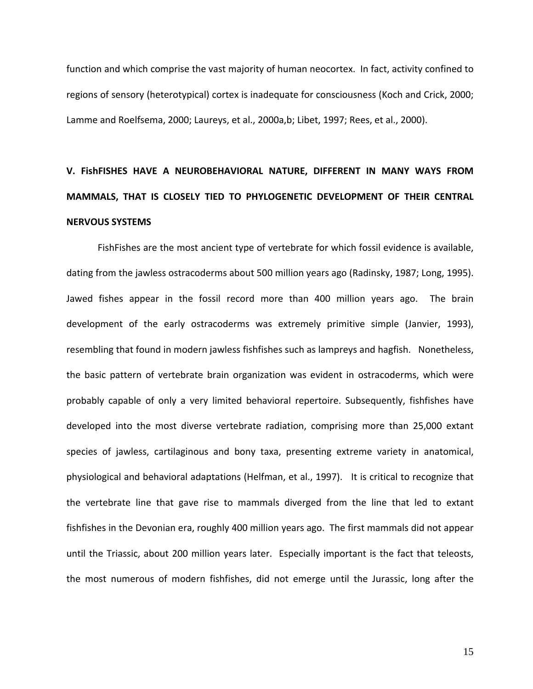function and which comprise the vast majority of human neocortex. In fact, activity confined to regions of sensory (heterotypical) cortex is inadequate for consciousness (Koch and Crick, 2000; Lamme and Roelfsema, 2000; Laureys, et al., 2000a,b; Libet, 1997; Rees, et al., 2000).

# **V. FishFISHES HAVE A NEUROBEHAVIORAL NATURE, DIFFERENT IN MANY WAYS FROM MAMMALS, THAT IS CLOSELY TIED TO PHYLOGENETIC DEVELOPMENT OF THEIR CENTRAL NERVOUS SYSTEMS**

FishFishes are the most ancient type of vertebrate for which fossil evidence is available, dating from the jawless ostracoderms about 500 million years ago (Radinsky, 1987; Long, 1995). Jawed fishes appear in the fossil record more than 400 million years ago. The brain development of the early ostracoderms was extremely primitive simple (Janvier, 1993), resembling that found in modern jawless fishfishes such as lampreys and hagfish. Nonetheless, the basic pattern of vertebrate brain organization was evident in ostracoderms, which were probably capable of only a very limited behavioral repertoire. Subsequently, fishfishes have developed into the most diverse vertebrate radiation, comprising more than 25,000 extant species of jawless, cartilaginous and bony taxa, presenting extreme variety in anatomical, physiological and behavioral adaptations (Helfman, et al., 1997). It is critical to recognize that the vertebrate line that gave rise to mammals diverged from the line that led to extant fishfishes in the Devonian era, roughly 400 million years ago. The first mammals did not appear until the Triassic, about 200 million years later. Especially important is the fact that teleosts, the most numerous of modern fishfishes, did not emerge until the Jurassic, long after the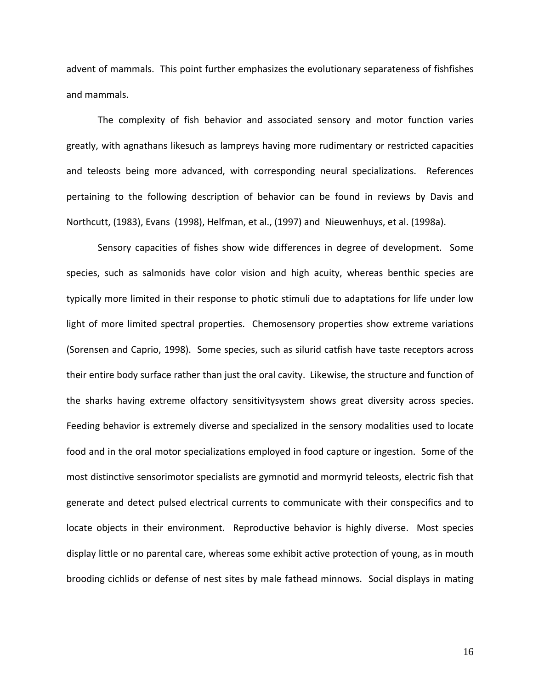advent of mammals. This point further emphasizes the evolutionary separateness of fishfishes and mammals.

The complexity of fish behavior and associated sensory and motor function varies greatly, with agnathans likesuch as lampreys having more rudimentary or restricted capacities and teleosts being more advanced, with corresponding neural specializations. References pertaining to the following description of behavior can be found in reviews by Davis and Northcutt, (1983), Evans (1998), Helfman, et al., (1997) and Nieuwenhuys, et al. (1998a).

Sensory capacities of fishes show wide differences in degree of development. Some species, such as salmonids have color vision and high acuity, whereas benthic species are typically more limited in their response to photic stimuli due to adaptations for life under low light of more limited spectral properties. Chemosensory properties show extreme variations (Sorensen and Caprio, 1998). Some species, such as silurid catfish have taste receptors across their entire body surface rather than just the oral cavity. Likewise, the structure and function of the sharks having extreme olfactory sensitivitysystem shows great diversity across species. Feeding behavior is extremely diverse and specialized in the sensory modalities used to locate food and in the oral motor specializations employed in food capture or ingestion. Some of the most distinctive sensorimotor specialists are gymnotid and mormyrid teleosts, electric fish that generate and detect pulsed electrical currents to communicate with their conspecifics and to locate objects in their environment. Reproductive behavior is highly diverse. Most species display little or no parental care, whereas some exhibit active protection of young, as in mouth brooding cichlids or defense of nest sites by male fathead minnows. Social displays in mating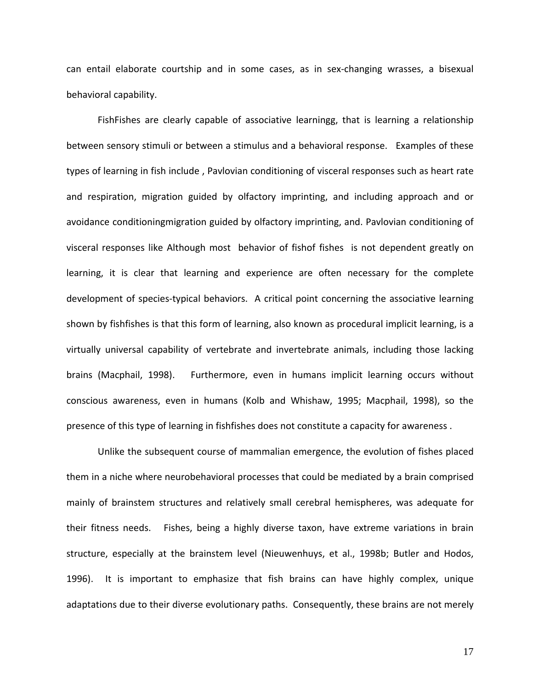can entail elaborate courtship and in some cases, as in sex-changing wrasses, a bisexual behavioral capability.

FishFishes are clearly capable of associative learningg, that is learning a relationship between sensory stimuli or between a stimulus and a behavioral response. Examples of these types of learning in fish include , Pavlovian conditioning of visceral responses such as heart rate and respiration, migration guided by olfactory imprinting, and including approach and or avoidance conditioningmigration guided by olfactory imprinting, and. Pavlovian conditioning of visceral responses like Although most behavior of fishof fishes is not dependent greatly on learning, it is clear that learning and experience are often necessary for the complete development of species‐typical behaviors. A critical point concerning the associative learning shown by fishfishes is that this form of learning, also known as procedural implicit learning, is a virtually universal capability of vertebrate and invertebrate animals, including those lacking brains (Macphail, 1998). Furthermore, even in humans implicit learning occurs without conscious awareness, even in humans (Kolb and Whishaw, 1995; Macphail, 1998), so the presence of this type of learning in fishfishes does not constitute a capacity for awareness .

Unlike the subsequent course of mammalian emergence, the evolution of fishes placed them in a niche where neurobehavioral processes that could be mediated by a brain comprised mainly of brainstem structures and relatively small cerebral hemispheres, was adequate for their fitness needs. Fishes, being a highly diverse taxon, have extreme variations in brain structure, especially at the brainstem level (Nieuwenhuys, et al., 1998b; Butler and Hodos, 1996). It is important to emphasize that fish brains can have highly complex, unique adaptations due to their diverse evolutionary paths. Consequently, these brains are not merely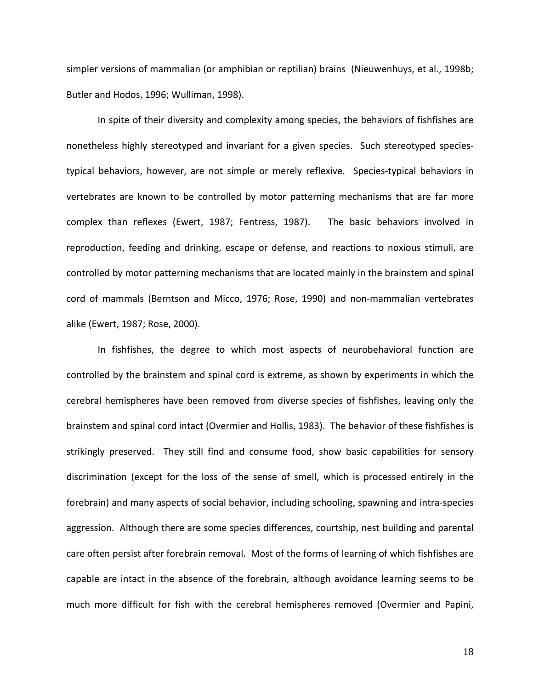simpler versions of mammalian (or amphibian or reptilian) brains (Nieuwenhuys, et al., 1998b; Butler and Hodos, 1996; Wulliman, 1998).

In spite of their diversity and complexity among species, the behaviors of fishfishes are nonetheless highly stereotyped and invariant for a given species. Such stereotyped speciestypical behaviors, however, are not simple or merely reflexive. Species-typical behaviors in vertebrates are known to be controlled by motor patterning mechanisms that are far more complex than reflexes (Ewert, 1987; Fentress, 1987). The basic behaviors involved in reproduction, feeding and drinking, escape or defense, and reactions to noxious stimuli, are controlled by motor patterning mechanisms that are located mainly in the brainstem and spinal cord of mammals (Berntson and Micco, 1976; Rose, 1990) and non‐mammalian vertebrates alike (Ewert, 1987; Rose, 2000).

In fishfishes, the degree to which most aspects of neurobehavioral function are controlled by the brainstem and spinal cord is extreme, as shown by experiments in which the cerebral hemispheres have been removed from diverse species of fishfishes, leaving only the brainstem and spinal cord intact (Overmier and Hollis, 1983). The behavior of these fishfishes is strikingly preserved. They still find and consume food, show basic capabilities for sensory discrimination (except for the loss of the sense of smell, which is processed entirely in the forebrain) and many aspects of social behavior, including schooling, spawning and intra‐species aggression. Although there are some species differences, courtship, nest building and parental care often persist after forebrain removal. Most of the forms of learning of which fishfishes are capable are intact in the absence of the forebrain, although avoidance learning seems to be much more difficult for fish with the cerebral hemispheres removed (Overmier and Papini,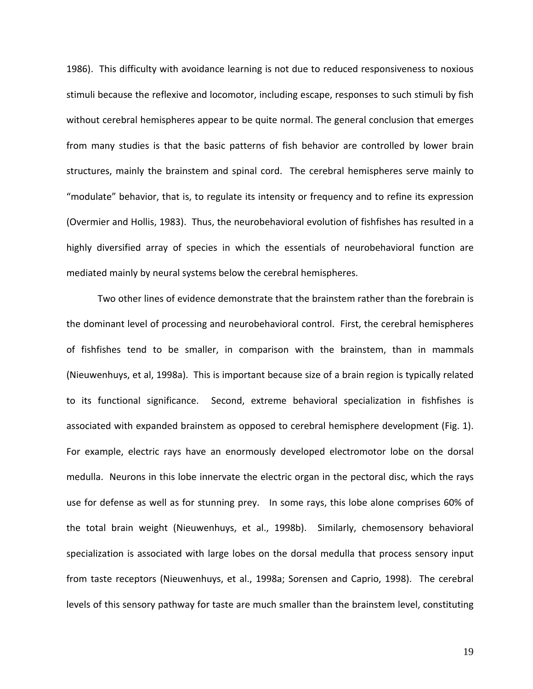1986). This difficulty with avoidance learning is not due to reduced responsiveness to noxious stimuli because the reflexive and locomotor, including escape, responses to such stimuli by fish without cerebral hemispheres appear to be quite normal. The general conclusion that emerges from many studies is that the basic patterns of fish behavior are controlled by lower brain structures, mainly the brainstem and spinal cord. The cerebral hemispheres serve mainly to "modulate" behavior, that is, to regulate its intensity or frequency and to refine its expression (Overmier and Hollis, 1983). Thus, the neurobehavioral evolution of fishfishes has resulted in a highly diversified array of species in which the essentials of neurobehavioral function are mediated mainly by neural systems below the cerebral hemispheres.

Two other lines of evidence demonstrate that the brainstem rather than the forebrain is the dominant level of processing and neurobehavioral control. First, the cerebral hemispheres of fishfishes tend to be smaller, in comparison with the brainstem, than in mammals (Nieuwenhuys, et al, 1998a). This is important because size of a brain region is typically related to its functional significance. Second, extreme behavioral specialization in fishfishes is associated with expanded brainstem as opposed to cerebral hemisphere development (Fig. 1). For example, electric rays have an enormously developed electromotor lobe on the dorsal medulla. Neurons in this lobe innervate the electric organ in the pectoral disc, which the rays use for defense as well as for stunning prey. In some rays, this lobe alone comprises 60% of the total brain weight (Nieuwenhuys, et al., 1998b). Similarly, chemosensory behavioral specialization is associated with large lobes on the dorsal medulla that process sensory input from taste receptors (Nieuwenhuys, et al., 1998a; Sorensen and Caprio, 1998). The cerebral levels of this sensory pathway for taste are much smaller than the brainstem level, constituting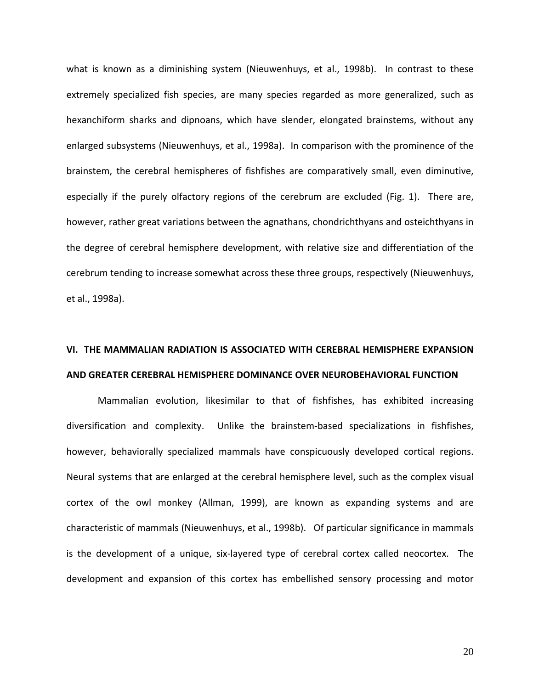what is known as a diminishing system (Nieuwenhuys, et al., 1998b). In contrast to these extremely specialized fish species, are many species regarded as more generalized, such as hexanchiform sharks and dipnoans, which have slender, elongated brainstems, without any enlarged subsystems (Nieuwenhuys, et al., 1998a). In comparison with the prominence of the brainstem, the cerebral hemispheres of fishfishes are comparatively small, even diminutive, especially if the purely olfactory regions of the cerebrum are excluded (Fig. 1). There are, however, rather great variations between the agnathans, chondrichthyans and osteichthyans in the degree of cerebral hemisphere development, with relative size and differentiation of the cerebrum tending to increase somewhat across these three groups, respectively (Nieuwenhuys, et al., 1998a).

### **VI. THE MAMMALIAN RADIATION IS ASSOCIATED WITH CEREBRAL HEMISPHERE EXPANSION AND GREATER CEREBRAL HEMISPHERE DOMINANCE OVER NEUROBEHAVIORAL FUNCTION**

Mammalian evolution, likesimilar to that of fishfishes, has exhibited increasing diversification and complexity. Unlike the brainstem-based specializations in fishfishes, however, behaviorally specialized mammals have conspicuously developed cortical regions. Neural systems that are enlarged at the cerebral hemisphere level, such as the complex visual cortex of the owl monkey (Allman, 1999), are known as expanding systems and are characteristic of mammals (Nieuwenhuys, et al., 1998b). Of particular significance in mammals is the development of a unique, six-layered type of cerebral cortex called neocortex. The development and expansion of this cortex has embellished sensory processing and motor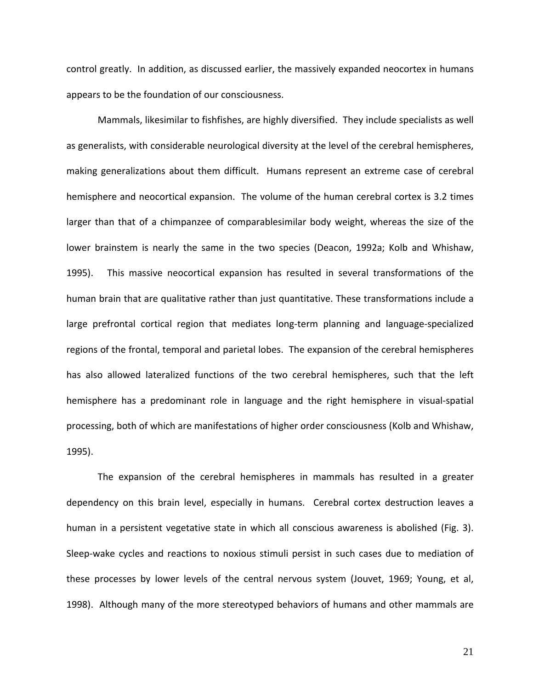control greatly. In addition, as discussed earlier, the massively expanded neocortex in humans appears to be the foundation of our consciousness.

Mammals, likesimilar to fishfishes, are highly diversified. They include specialists as well as generalists, with considerable neurological diversity at the level of the cerebral hemispheres, making generalizations about them difficult. Humans represent an extreme case of cerebral hemisphere and neocortical expansion. The volume of the human cerebral cortex is 3.2 times larger than that of a chimpanzee of comparablesimilar body weight, whereas the size of the lower brainstem is nearly the same in the two species (Deacon, 1992a; Kolb and Whishaw, 1995). This massive neocortical expansion has resulted in several transformations of the human brain that are qualitative rather than just quantitative. These transformations include a large prefrontal cortical region that mediates long-term planning and language-specialized regions of the frontal, temporal and parietal lobes. The expansion of the cerebral hemispheres has also allowed lateralized functions of the two cerebral hemispheres, such that the left hemisphere has a predominant role in language and the right hemisphere in visual-spatial processing, both of which are manifestations of higher order consciousness (Kolb and Whishaw, 1995).

The expansion of the cerebral hemispheres in mammals has resulted in a greater dependency on this brain level, especially in humans. Cerebral cortex destruction leaves a human in a persistent vegetative state in which all conscious awareness is abolished (Fig. 3). Sleep-wake cycles and reactions to noxious stimuli persist in such cases due to mediation of these processes by lower levels of the central nervous system (Jouvet, 1969; Young, et al, 1998). Although many of the more stereotyped behaviors of humans and other mammals are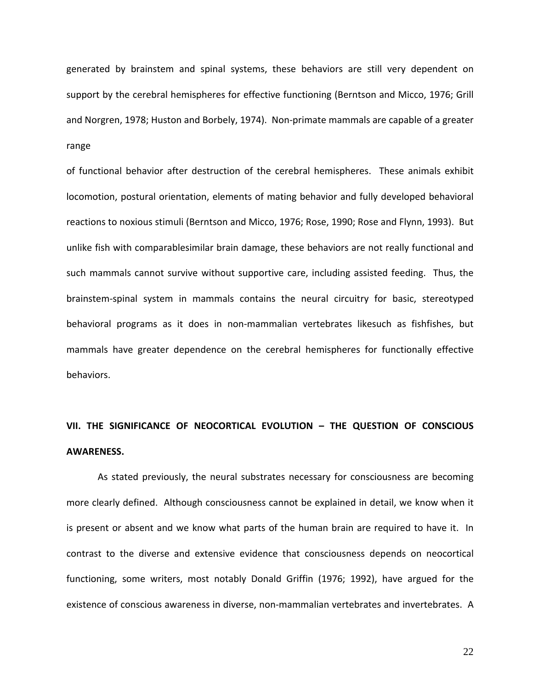generated by brainstem and spinal systems, these behaviors are still very dependent on support by the cerebral hemispheres for effective functioning (Berntson and Micco, 1976; Grill and Norgren, 1978; Huston and Borbely, 1974). Non‐primate mammals are capable of a greater range

of functional behavior after destruction of the cerebral hemispheres. These animals exhibit locomotion, postural orientation, elements of mating behavior and fully developed behavioral reactions to noxious stimuli (Berntson and Micco, 1976; Rose, 1990; Rose and Flynn, 1993). But unlike fish with comparablesimilar brain damage, these behaviors are not really functional and such mammals cannot survive without supportive care, including assisted feeding. Thus, the brainstem‐spinal system in mammals contains the neural circuitry for basic, stereotyped behavioral programs as it does in non‐mammalian vertebrates likesuch as fishfishes, but mammals have greater dependence on the cerebral hemispheres for functionally effective behaviors.

## **VII. THE SIGNIFICANCE OF NEOCORTICAL EVOLUTION – THE QUESTION OF CONSCIOUS AWARENESS.**

As stated previously, the neural substrates necessary for consciousness are becoming more clearly defined. Although consciousness cannot be explained in detail, we know when it is present or absent and we know what parts of the human brain are required to have it. In contrast to the diverse and extensive evidence that consciousness depends on neocortical functioning, some writers, most notably Donald Griffin (1976; 1992), have argued for the existence of conscious awareness in diverse, non-mammalian vertebrates and invertebrates. A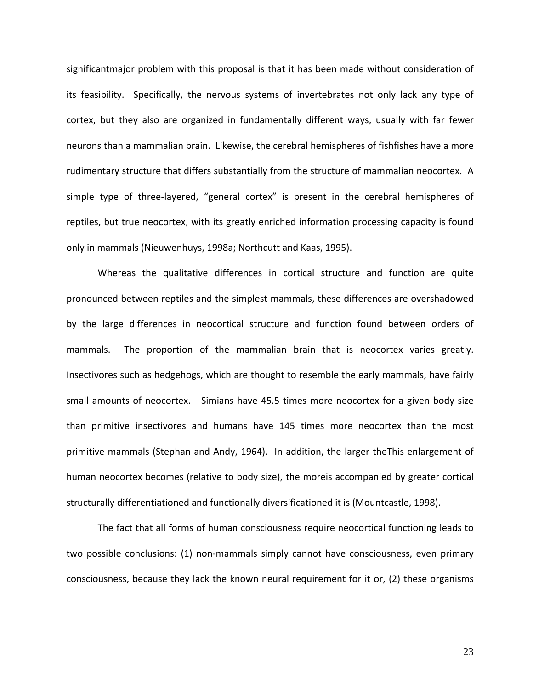significantmajor problem with this proposal is that it has been made without consideration of its feasibility. Specifically, the nervous systems of invertebrates not only lack any type of cortex, but they also are organized in fundamentally different ways, usually with far fewer neurons than a mammalian brain. Likewise, the cerebral hemispheres of fishfishes have a more rudimentary structure that differs substantially from the structure of mammalian neocortex. A simple type of three-layered, "general cortex" is present in the cerebral hemispheres of reptiles, but true neocortex, with its greatly enriched information processing capacity is found only in mammals (Nieuwenhuys, 1998a; Northcutt and Kaas, 1995).

Whereas the qualitative differences in cortical structure and function are quite pronounced between reptiles and the simplest mammals, these differences are overshadowed by the large differences in neocortical structure and function found between orders of mammals. The proportion of the mammalian brain that is neocortex varies greatly. Insectivores such as hedgehogs, which are thought to resemble the early mammals, have fairly small amounts of neocortex. Simians have 45.5 times more neocortex for a given body size than primitive insectivores and humans have 145 times more neocortex than the most primitive mammals (Stephan and Andy, 1964). In addition, the larger theThis enlargement of human neocortex becomes (relative to body size), the moreis accompanied by greater cortical structurally differentiationed and functionally diversificationed it is (Mountcastle, 1998).

The fact that all forms of human consciousness require neocortical functioning leads to two possible conclusions: (1) non‐mammals simply cannot have consciousness, even primary consciousness, because they lack the known neural requirement for it or, (2) these organisms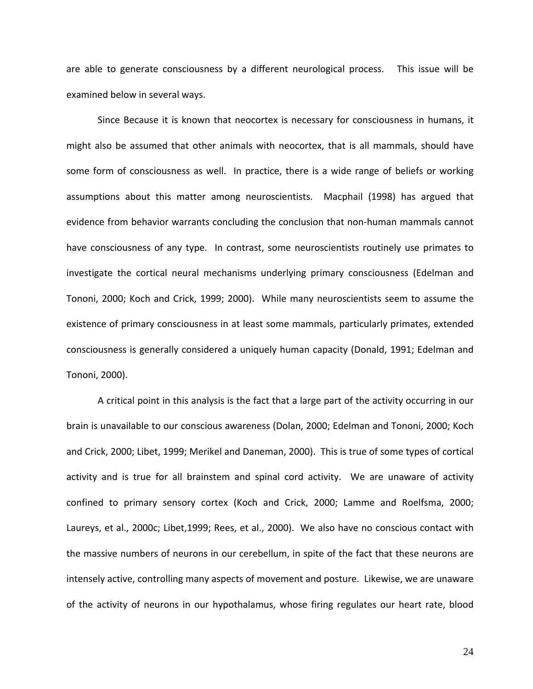are able to generate consciousness by a different neurological process. This issue will be examined below in several ways.

Since Because it is known that neocortex is necessary for consciousness in humans, it might also be assumed that other animals with neocortex, that is all mammals, should have some form of consciousness as well. In practice, there is a wide range of beliefs or working assumptions about this matter among neuroscientists. Macphail (1998) has argued that evidence from behavior warrants concluding the conclusion that non‐human mammals cannot have consciousness of any type. In contrast, some neuroscientists routinely use primates to investigate the cortical neural mechanisms underlying primary consciousness (Edelman and Tononi, 2000; Koch and Crick, 1999; 2000). While many neuroscientists seem to assume the existence of primary consciousness in at least some mammals, particularly primates, extended consciousness is generally considered a uniquely human capacity (Donald, 1991; Edelman and Tononi, 2000).

A critical point in this analysis is the fact that a large part of the activity occurring in our brain is unavailable to our conscious awareness (Dolan, 2000; Edelman and Tononi, 2000; Koch and Crick, 2000; Libet, 1999; Merikel and Daneman, 2000). This is true of some types of cortical activity and is true for all brainstem and spinal cord activity. We are unaware of activity confined to primary sensory cortex (Koch and Crick, 2000; Lamme and Roelfsma, 2000; Laureys, et al., 2000c; Libet,1999; Rees, et al., 2000). We also have no conscious contact with the massive numbers of neurons in our cerebellum, in spite of the fact that these neurons are intensely active, controlling many aspects of movement and posture. Likewise, we are unaware of the activity of neurons in our hypothalamus, whose firing regulates our heart rate, blood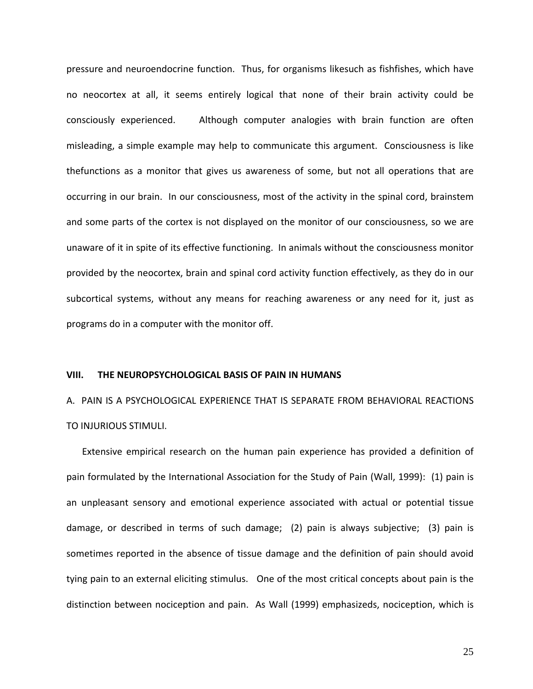pressure and neuroendocrine function. Thus, for organisms likesuch as fishfishes, which have no neocortex at all, it seems entirely logical that none of their brain activity could be consciously experienced. Although computer analogies with brain function are often misleading, a simple example may help to communicate this argument. Consciousness is like thefunctions as a monitor that gives us awareness of some, but not all operations that are occurring in our brain. In our consciousness, most of the activity in the spinal cord, brainstem and some parts of the cortex is not displayed on the monitor of our consciousness, so we are unaware of it in spite of its effective functioning. In animals without the consciousness monitor provided by the neocortex, brain and spinal cord activity function effectively, as they do in our subcortical systems, without any means for reaching awareness or any need for it, just as programs do in a computer with the monitor off.

#### **VIII. THE NEUROPSYCHOLOGICAL BASIS OF PAIN IN HUMANS**

A. PAIN IS A PSYCHOLOGICAL EXPERIENCE THAT IS SEPARATE FROM BEHAVIORAL REACTIONS TO INJURIOUS STIMULI.

Extensive empirical research on the human pain experience has provided a definition of pain formulated by the International Association for the Study of Pain (Wall, 1999): (1) pain is an unpleasant sensory and emotional experience associated with actual or potential tissue damage, or described in terms of such damage; (2) pain is always subjective; (3) pain is sometimes reported in the absence of tissue damage and the definition of pain should avoid tying pain to an external eliciting stimulus. One of the most critical concepts about pain is the distinction between nociception and pain. As Wall (1999) emphasizeds, nociception, which is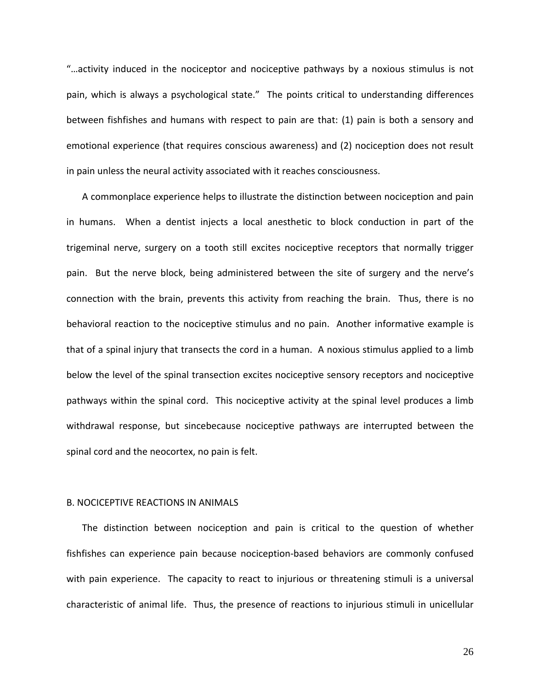"…activity induced in the nociceptor and nociceptive pathways by a noxious stimulus is not pain, which is always a psychological state." The points critical to understanding differences between fishfishes and humans with respect to pain are that: (1) pain is both a sensory and emotional experience (that requires conscious awareness) and (2) nociception does not result in pain unless the neural activity associated with it reaches consciousness.

A commonplace experience helps to illustrate the distinction between nociception and pain in humans. When a dentist injects a local anesthetic to block conduction in part of the trigeminal nerve, surgery on a tooth still excites nociceptive receptors that normally trigger pain. But the nerve block, being administered between the site of surgery and the nerve's connection with the brain, prevents this activity from reaching the brain. Thus, there is no behavioral reaction to the nociceptive stimulus and no pain. Another informative example is that of a spinal injury that transects the cord in a human. A noxious stimulus applied to a limb below the level of the spinal transection excites nociceptive sensory receptors and nociceptive pathways within the spinal cord. This nociceptive activity at the spinal level produces a limb withdrawal response, but sincebecause nociceptive pathways are interrupted between the spinal cord and the neocortex, no pain is felt.

#### B. NOCICEPTIVE REACTIONS IN ANIMALS

The distinction between nociception and pain is critical to the question of whether fishfishes can experience pain because nociception‐based behaviors are commonly confused with pain experience. The capacity to react to injurious or threatening stimuli is a universal characteristic of animal life. Thus, the presence of reactions to injurious stimuli in unicellular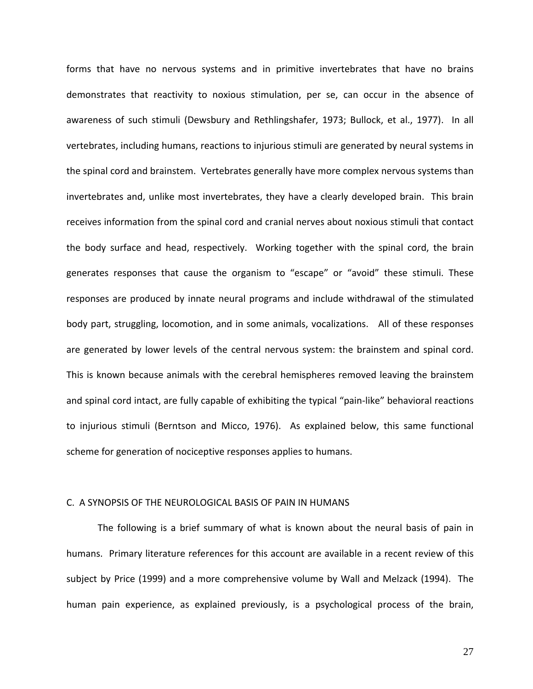forms that have no nervous systems and in primitive invertebrates that have no brains demonstrates that reactivity to noxious stimulation, per se, can occur in the absence of awareness of such stimuli (Dewsbury and Rethlingshafer, 1973; Bullock, et al., 1977). In all vertebrates, including humans, reactions to injurious stimuli are generated by neural systems in the spinal cord and brainstem. Vertebrates generally have more complex nervous systems than invertebrates and, unlike most invertebrates, they have a clearly developed brain. This brain receives information from the spinal cord and cranial nerves about noxious stimuli that contact the body surface and head, respectively. Working together with the spinal cord, the brain generates responses that cause the organism to "escape" or "avoid" these stimuli. These responses are produced by innate neural programs and include withdrawal of the stimulated body part, struggling, locomotion, and in some animals, vocalizations. All of these responses are generated by lower levels of the central nervous system: the brainstem and spinal cord. This is known because animals with the cerebral hemispheres removed leaving the brainstem and spinal cord intact, are fully capable of exhibiting the typical "pain‐like" behavioral reactions to injurious stimuli (Berntson and Micco, 1976). As explained below, this same functional scheme for generation of nociceptive responses applies to humans.

#### C. A SYNOPSIS OF THE NEUROLOGICAL BASIS OF PAIN IN HUMANS

 The following is a brief summary of what is known about the neural basis of pain in humans. Primary literature references for this account are available in a recent review of this subject by Price (1999) and a more comprehensive volume by Wall and Melzack (1994). The human pain experience, as explained previously, is a psychological process of the brain,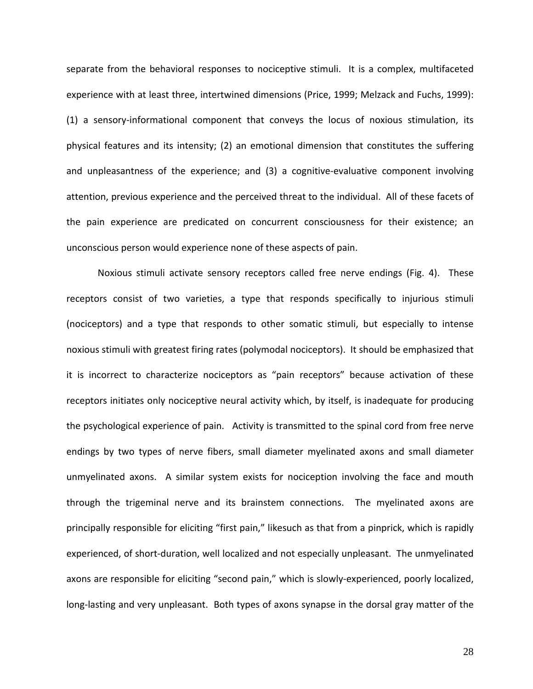separate from the behavioral responses to nociceptive stimuli. It is a complex, multifaceted experience with at least three, intertwined dimensions (Price, 1999; Melzack and Fuchs, 1999): (1) a sensory‐informational component that conveys the locus of noxious stimulation, its physical features and its intensity; (2) an emotional dimension that constitutes the suffering and unpleasantness of the experience; and (3) a cognitive-evaluative component involving attention, previous experience and the perceived threat to the individual. All of these facets of the pain experience are predicated on concurrent consciousness for their existence; an unconscious person would experience none of these aspects of pain.

Noxious stimuli activate sensory receptors called free nerve endings (Fig. 4). These receptors consist of two varieties, a type that responds specifically to injurious stimuli (nociceptors) and a type that responds to other somatic stimuli, but especially to intense noxious stimuli with greatest firing rates (polymodal nociceptors). It should be emphasized that it is incorrect to characterize nociceptors as "pain receptors" because activation of these receptors initiates only nociceptive neural activity which, by itself, is inadequate for producing the psychological experience of pain. Activity is transmitted to the spinal cord from free nerve endings by two types of nerve fibers, small diameter myelinated axons and small diameter unmyelinated axons. A similar system exists for nociception involving the face and mouth through the trigeminal nerve and its brainstem connections. The myelinated axons are principally responsible for eliciting "first pain," likesuch as that from a pinprick, which is rapidly experienced, of short-duration, well localized and not especially unpleasant. The unmyelinated axons are responsible for eliciting "second pain," which is slowly‐experienced, poorly localized, long-lasting and very unpleasant. Both types of axons synapse in the dorsal gray matter of the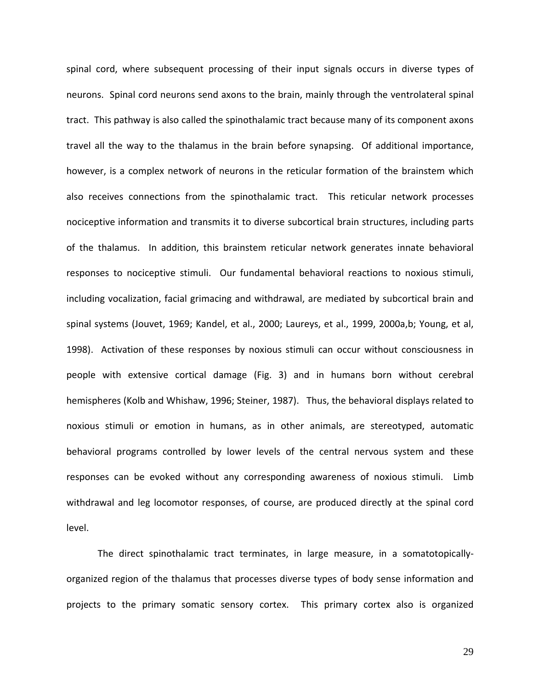spinal cord, where subsequent processing of their input signals occurs in diverse types of neurons. Spinal cord neurons send axons to the brain, mainly through the ventrolateral spinal tract. This pathway is also called the spinothalamic tract because many of its component axons travel all the way to the thalamus in the brain before synapsing. Of additional importance, however, is a complex network of neurons in the reticular formation of the brainstem which also receives connections from the spinothalamic tract. This reticular network processes nociceptive information and transmits it to diverse subcortical brain structures, including parts of the thalamus. In addition, this brainstem reticular network generates innate behavioral responses to nociceptive stimuli. Our fundamental behavioral reactions to noxious stimuli, including vocalization, facial grimacing and withdrawal, are mediated by subcortical brain and spinal systems (Jouvet, 1969; Kandel, et al., 2000; Laureys, et al., 1999, 2000a,b; Young, et al, 1998). Activation of these responses by noxious stimuli can occur without consciousness in people with extensive cortical damage (Fig. 3) and in humans born without cerebral hemispheres (Kolb and Whishaw, 1996; Steiner, 1987). Thus, the behavioral displays related to noxious stimuli or emotion in humans, as in other animals, are stereotyped, automatic behavioral programs controlled by lower levels of the central nervous system and these responses can be evoked without any corresponding awareness of noxious stimuli. Limb withdrawal and leg locomotor responses, of course, are produced directly at the spinal cord level.

The direct spinothalamic tract terminates, in large measure, in a somatotopically‐ organized region of the thalamus that processes diverse types of body sense information and projects to the primary somatic sensory cortex. This primary cortex also is organized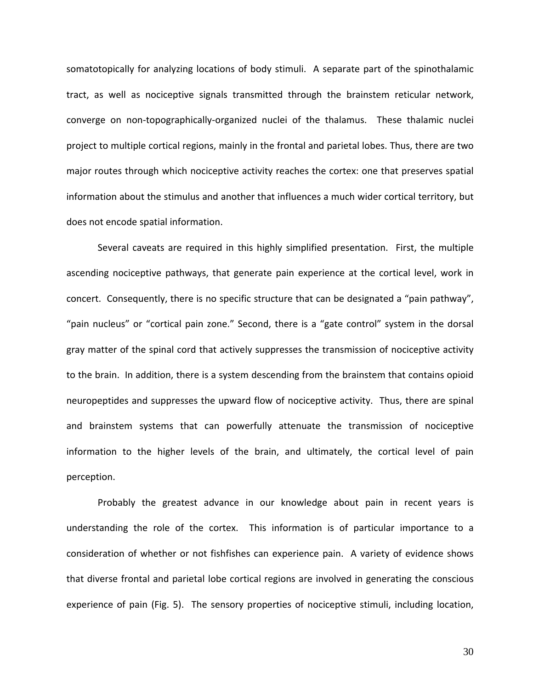somatotopically for analyzing locations of body stimuli. A separate part of the spinothalamic tract, as well as nociceptive signals transmitted through the brainstem reticular network, converge on non‐topographically‐organized nuclei of the thalamus. These thalamic nuclei project to multiple cortical regions, mainly in the frontal and parietal lobes. Thus, there are two major routes through which nociceptive activity reaches the cortex: one that preserves spatial information about the stimulus and another that influences a much wider cortical territory, but does not encode spatial information.

Several caveats are required in this highly simplified presentation. First, the multiple ascending nociceptive pathways, that generate pain experience at the cortical level, work in concert. Consequently, there is no specific structure that can be designated a "pain pathway", "pain nucleus" or "cortical pain zone." Second, there is a "gate control" system in the dorsal gray matter of the spinal cord that actively suppresses the transmission of nociceptive activity to the brain. In addition, there is a system descending from the brainstem that contains opioid neuropeptides and suppresses the upward flow of nociceptive activity. Thus, there are spinal and brainstem systems that can powerfully attenuate the transmission of nociceptive information to the higher levels of the brain, and ultimately, the cortical level of pain perception.

Probably the greatest advance in our knowledge about pain in recent years is understanding the role of the cortex. This information is of particular importance to a consideration of whether or not fishfishes can experience pain. A variety of evidence shows that diverse frontal and parietal lobe cortical regions are involved in generating the conscious experience of pain (Fig. 5). The sensory properties of nociceptive stimuli, including location,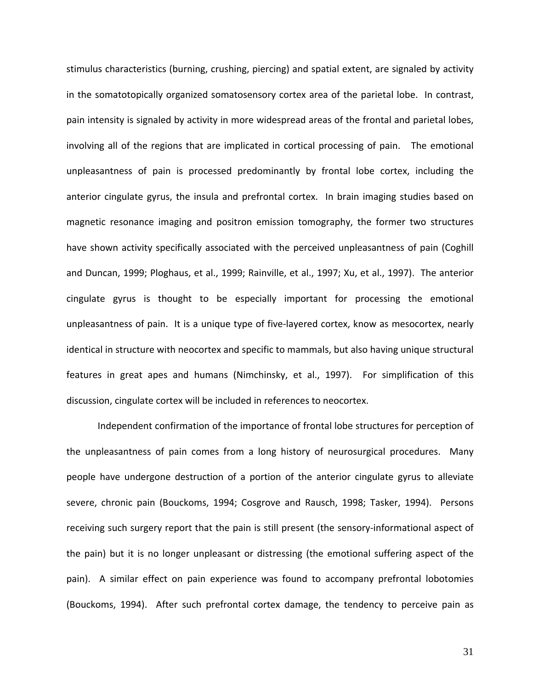stimulus characteristics (burning, crushing, piercing) and spatial extent, are signaled by activity in the somatotopically organized somatosensory cortex area of the parietal lobe. In contrast, pain intensity is signaled by activity in more widespread areas of the frontal and parietal lobes, involving all of the regions that are implicated in cortical processing of pain. The emotional unpleasantness of pain is processed predominantly by frontal lobe cortex, including the anterior cingulate gyrus, the insula and prefrontal cortex. In brain imaging studies based on magnetic resonance imaging and positron emission tomography, the former two structures have shown activity specifically associated with the perceived unpleasantness of pain (Coghill and Duncan, 1999; Ploghaus, et al., 1999; Rainville, et al., 1997; Xu, et al., 1997). The anterior cingulate gyrus is thought to be especially important for processing the emotional unpleasantness of pain. It is a unique type of five-layered cortex, know as mesocortex, nearly identical in structure with neocortex and specific to mammals, but also having unique structural features in great apes and humans (Nimchinsky, et al., 1997). For simplification of this discussion, cingulate cortex will be included in references to neocortex.

Independent confirmation of the importance of frontal lobe structures for perception of the unpleasantness of pain comes from a long history of neurosurgical procedures. Many people have undergone destruction of a portion of the anterior cingulate gyrus to alleviate severe, chronic pain (Bouckoms, 1994; Cosgrove and Rausch, 1998; Tasker, 1994). Persons receiving such surgery report that the pain is still present (the sensory-informational aspect of the pain) but it is no longer unpleasant or distressing (the emotional suffering aspect of the pain). A similar effect on pain experience was found to accompany prefrontal lobotomies (Bouckoms, 1994). After such prefrontal cortex damage, the tendency to perceive pain as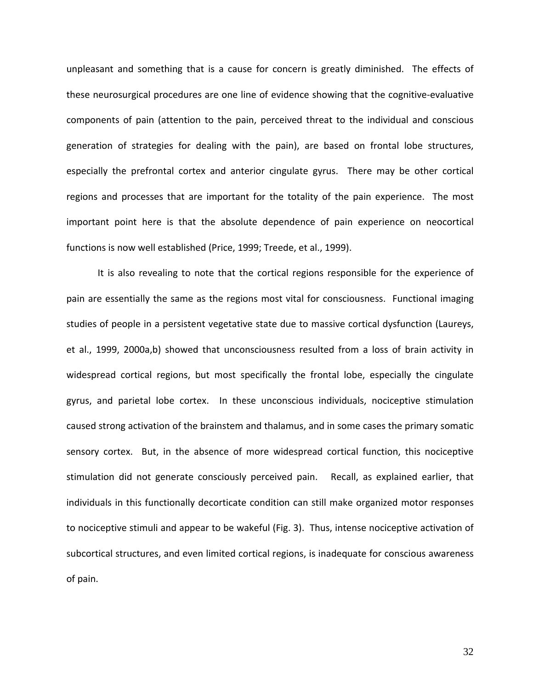unpleasant and something that is a cause for concern is greatly diminished. The effects of these neurosurgical procedures are one line of evidence showing that the cognitive‐evaluative components of pain (attention to the pain, perceived threat to the individual and conscious generation of strategies for dealing with the pain), are based on frontal lobe structures, especially the prefrontal cortex and anterior cingulate gyrus. There may be other cortical regions and processes that are important for the totality of the pain experience. The most important point here is that the absolute dependence of pain experience on neocortical functions is now well established (Price, 1999; Treede, et al., 1999).

It is also revealing to note that the cortical regions responsible for the experience of pain are essentially the same as the regions most vital for consciousness. Functional imaging studies of people in a persistent vegetative state due to massive cortical dysfunction (Laureys, et al., 1999, 2000a,b) showed that unconsciousness resulted from a loss of brain activity in widespread cortical regions, but most specifically the frontal lobe, especially the cingulate gyrus, and parietal lobe cortex. In these unconscious individuals, nociceptive stimulation caused strong activation of the brainstem and thalamus, and in some cases the primary somatic sensory cortex. But, in the absence of more widespread cortical function, this nociceptive stimulation did not generate consciously perceived pain. Recall, as explained earlier, that individuals in this functionally decorticate condition can still make organized motor responses to nociceptive stimuli and appear to be wakeful (Fig. 3). Thus, intense nociceptive activation of subcortical structures, and even limited cortical regions, is inadequate for conscious awareness of pain.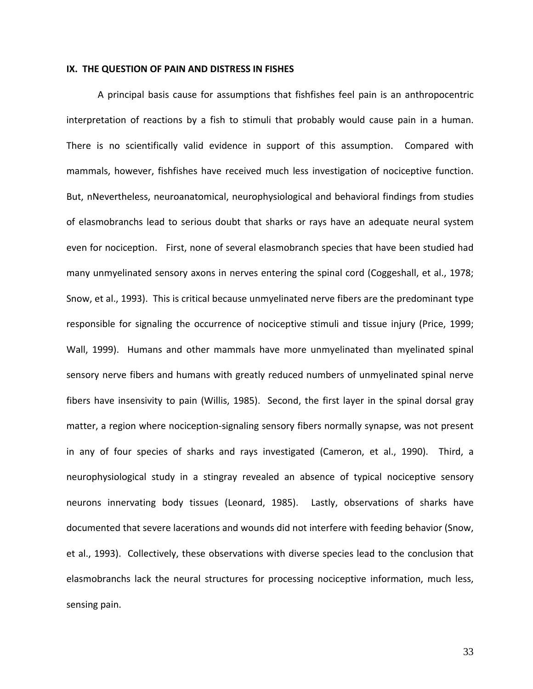#### **IX. THE QUESTION OF PAIN AND DISTRESS IN FISHES**

A principal basis cause for assumptions that fishfishes feel pain is an anthropocentric interpretation of reactions by a fish to stimuli that probably would cause pain in a human. There is no scientifically valid evidence in support of this assumption. Compared with mammals, however, fishfishes have received much less investigation of nociceptive function. But, nNevertheless, neuroanatomical, neurophysiological and behavioral findings from studies of elasmobranchs lead to serious doubt that sharks or rays have an adequate neural system even for nociception. First, none of several elasmobranch species that have been studied had many unmyelinated sensory axons in nerves entering the spinal cord (Coggeshall, et al., 1978; Snow, et al., 1993). This is critical because unmyelinated nerve fibers are the predominant type responsible for signaling the occurrence of nociceptive stimuli and tissue injury (Price, 1999; Wall, 1999). Humans and other mammals have more unmyelinated than myelinated spinal sensory nerve fibers and humans with greatly reduced numbers of unmyelinated spinal nerve fibers have insensivity to pain (Willis, 1985). Second, the first layer in the spinal dorsal gray matter, a region where nociception‐signaling sensory fibers normally synapse, was not present in any of four species of sharks and rays investigated (Cameron, et al., 1990). Third, a neurophysiological study in a stingray revealed an absence of typical nociceptive sensory neurons innervating body tissues (Leonard, 1985). Lastly, observations of sharks have documented that severe lacerations and wounds did not interfere with feeding behavior (Snow, et al., 1993). Collectively, these observations with diverse species lead to the conclusion that elasmobranchs lack the neural structures for processing nociceptive information, much less, sensing pain.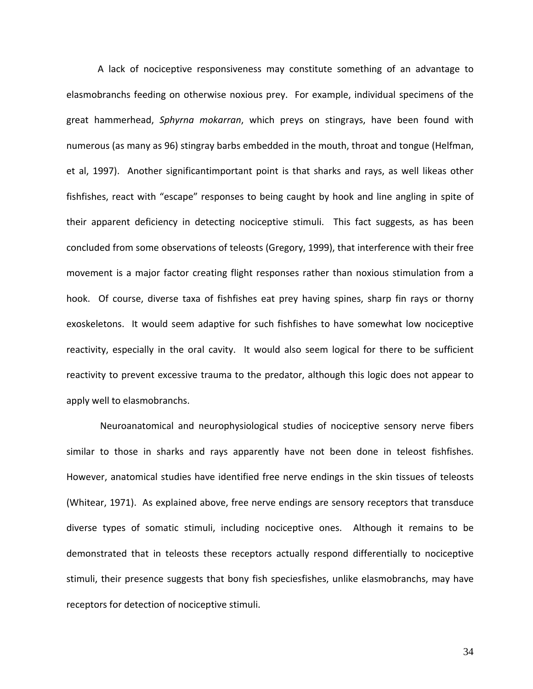A lack of nociceptive responsiveness may constitute something of an advantage to elasmobranchs feeding on otherwise noxious prey. For example, individual specimens of the great hammerhead, *Sphyrna mokarran*, which preys on stingrays, have been found with numerous (as many as 96) stingray barbs embedded in the mouth, throat and tongue (Helfman, et al, 1997). Another significantimportant point is that sharks and rays, as well likeas other fishfishes, react with "escape" responses to being caught by hook and line angling in spite of their apparent deficiency in detecting nociceptive stimuli. This fact suggests, as has been concluded from some observations of teleosts (Gregory, 1999), that interference with their free movement is a major factor creating flight responses rather than noxious stimulation from a hook. Of course, diverse taxa of fishfishes eat prey having spines, sharp fin rays or thorny exoskeletons. It would seem adaptive for such fishfishes to have somewhat low nociceptive reactivity, especially in the oral cavity. It would also seem logical for there to be sufficient reactivity to prevent excessive trauma to the predator, although this logic does not appear to apply well to elasmobranchs.

Neuroanatomical and neurophysiological studies of nociceptive sensory nerve fibers similar to those in sharks and rays apparently have not been done in teleost fishfishes. However, anatomical studies have identified free nerve endings in the skin tissues of teleosts (Whitear, 1971). As explained above, free nerve endings are sensory receptors that transduce diverse types of somatic stimuli, including nociceptive ones. Although it remains to be demonstrated that in teleosts these receptors actually respond differentially to nociceptive stimuli, their presence suggests that bony fish speciesfishes, unlike elasmobranchs, may have receptors for detection of nociceptive stimuli.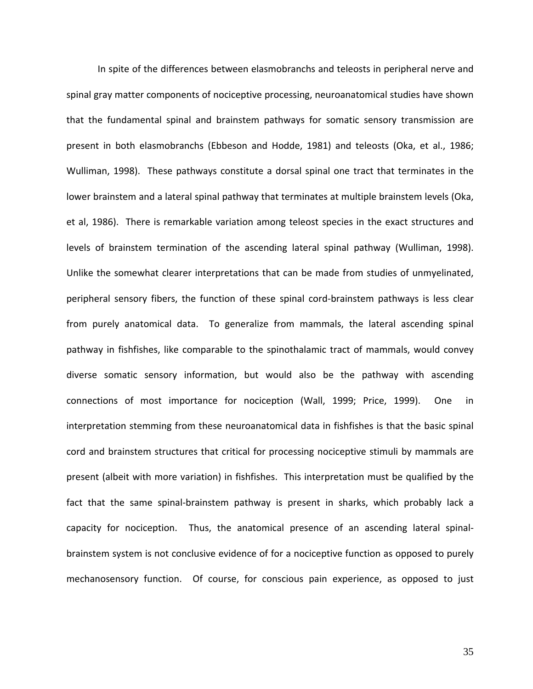In spite of the differences between elasmobranchs and teleosts in peripheral nerve and spinal gray matter components of nociceptive processing, neuroanatomical studies have shown that the fundamental spinal and brainstem pathways for somatic sensory transmission are present in both elasmobranchs (Ebbeson and Hodde, 1981) and teleosts (Oka, et al., 1986; Wulliman, 1998). These pathways constitute a dorsal spinal one tract that terminates in the lower brainstem and a lateral spinal pathway that terminates at multiple brainstem levels (Oka, et al, 1986). There is remarkable variation among teleost species in the exact structures and levels of brainstem termination of the ascending lateral spinal pathway (Wulliman, 1998). Unlike the somewhat clearer interpretations that can be made from studies of unmyelinated, peripheral sensory fibers, the function of these spinal cord‐brainstem pathways is less clear from purely anatomical data. To generalize from mammals, the lateral ascending spinal pathway in fishfishes, like comparable to the spinothalamic tract of mammals, would convey diverse somatic sensory information, but would also be the pathway with ascending connections of most importance for nociception (Wall, 1999; Price, 1999). One in interpretation stemming from these neuroanatomical data in fishfishes is that the basic spinal cord and brainstem structures that critical for processing nociceptive stimuli by mammals are present (albeit with more variation) in fishfishes. This interpretation must be qualified by the fact that the same spinal-brainstem pathway is present in sharks, which probably lack a capacity for nociception. Thus, the anatomical presence of an ascending lateral spinalbrainstem system is not conclusive evidence of for a nociceptive function as opposed to purely mechanosensory function. Of course, for conscious pain experience, as opposed to just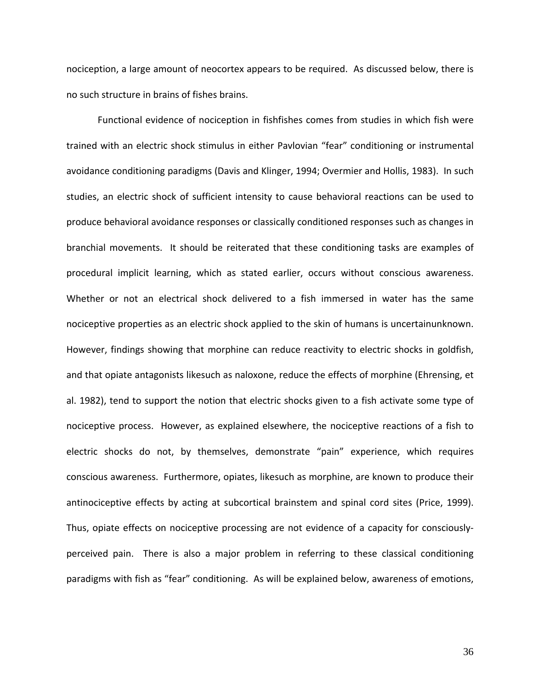nociception, a large amount of neocortex appears to be required. As discussed below, there is no such structure in brains of fishes brains.

Functional evidence of nociception in fishfishes comes from studies in which fish were trained with an electric shock stimulus in either Pavlovian "fear" conditioning or instrumental avoidance conditioning paradigms (Davis and Klinger, 1994; Overmier and Hollis, 1983). In such studies, an electric shock of sufficient intensity to cause behavioral reactions can be used to produce behavioral avoidance responses or classically conditioned responses such as changes in branchial movements. It should be reiterated that these conditioning tasks are examples of procedural implicit learning, which as stated earlier, occurs without conscious awareness. Whether or not an electrical shock delivered to a fish immersed in water has the same nociceptive properties as an electric shock applied to the skin of humans is uncertainunknown. However, findings showing that morphine can reduce reactivity to electric shocks in goldfish, and that opiate antagonists likesuch as naloxone, reduce the effects of morphine (Ehrensing, et al. 1982), tend to support the notion that electric shocks given to a fish activate some type of nociceptive process. However, as explained elsewhere, the nociceptive reactions of a fish to electric shocks do not, by themselves, demonstrate "pain" experience, which requires conscious awareness. Furthermore, opiates, likesuch as morphine, are known to produce their antinociceptive effects by acting at subcortical brainstem and spinal cord sites (Price, 1999). Thus, opiate effects on nociceptive processing are not evidence of a capacity for consciously‐ perceived pain. There is also a major problem in referring to these classical conditioning paradigms with fish as "fear" conditioning. As will be explained below, awareness of emotions,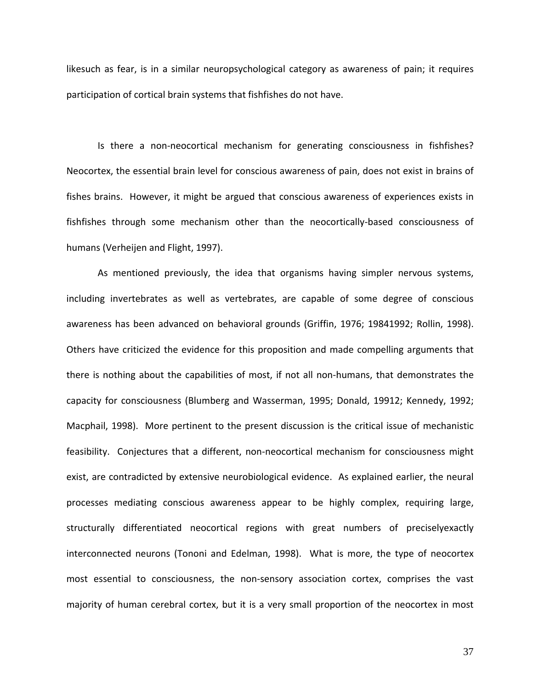likesuch as fear, is in a similar neuropsychological category as awareness of pain; it requires participation of cortical brain systems that fishfishes do not have.

Is there a non-neocortical mechanism for generating consciousness in fishfishes? Neocortex, the essential brain level for conscious awareness of pain, does not exist in brains of fishes brains. However, it might be argued that conscious awareness of experiences exists in fishfishes through some mechanism other than the neocortically‐based consciousness of humans (Verheijen and Flight, 1997).

As mentioned previously, the idea that organisms having simpler nervous systems, including invertebrates as well as vertebrates, are capable of some degree of conscious awareness has been advanced on behavioral grounds (Griffin, 1976; 19841992; Rollin, 1998). Others have criticized the evidence for this proposition and made compelling arguments that there is nothing about the capabilities of most, if not all non‐humans, that demonstrates the capacity for consciousness (Blumberg and Wasserman, 1995; Donald, 19912; Kennedy, 1992; Macphail, 1998). More pertinent to the present discussion is the critical issue of mechanistic feasibility. Conjectures that a different, non-neocortical mechanism for consciousness might exist, are contradicted by extensive neurobiological evidence. As explained earlier, the neural processes mediating conscious awareness appear to be highly complex, requiring large, structurally differentiated neocortical regions with great numbers of preciselyexactly interconnected neurons (Tononi and Edelman, 1998). What is more, the type of neocortex most essential to consciousness, the non‐sensory association cortex, comprises the vast majority of human cerebral cortex, but it is a very small proportion of the neocortex in most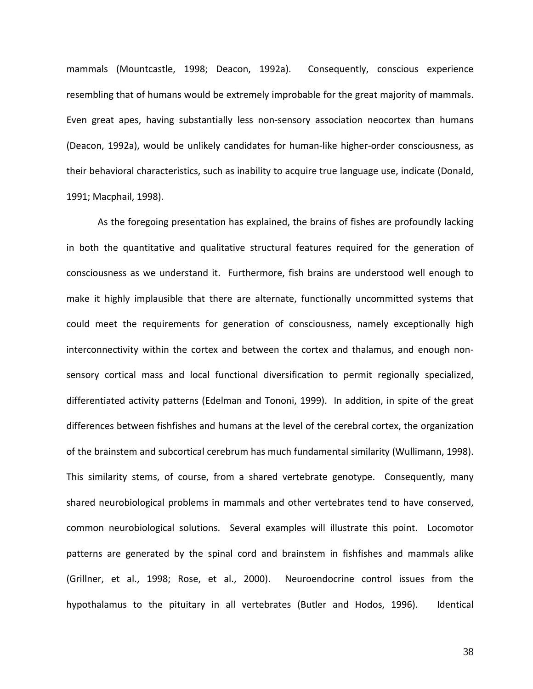mammals (Mountcastle, 1998; Deacon, 1992a). Consequently, conscious experience resembling that of humans would be extremely improbable for the great majority of mammals. Even great apes, having substantially less non-sensory association neocortex than humans (Deacon, 1992a), would be unlikely candidates for human‐like higher‐order consciousness, as their behavioral characteristics, such as inability to acquire true language use, indicate (Donald, 1991; Macphail, 1998).

As the foregoing presentation has explained, the brains of fishes are profoundly lacking in both the quantitative and qualitative structural features required for the generation of consciousness as we understand it. Furthermore, fish brains are understood well enough to make it highly implausible that there are alternate, functionally uncommitted systems that could meet the requirements for generation of consciousness, namely exceptionally high interconnectivity within the cortex and between the cortex and thalamus, and enough non‐ sensory cortical mass and local functional diversification to permit regionally specialized, differentiated activity patterns (Edelman and Tononi, 1999). In addition, in spite of the great differences between fishfishes and humans at the level of the cerebral cortex, the organization of the brainstem and subcortical cerebrum has much fundamental similarity (Wullimann, 1998). This similarity stems, of course, from a shared vertebrate genotype. Consequently, many shared neurobiological problems in mammals and other vertebrates tend to have conserved, common neurobiological solutions. Several examples will illustrate this point. Locomotor patterns are generated by the spinal cord and brainstem in fishfishes and mammals alike (Grillner, et al., 1998; Rose, et al., 2000). Neuroendocrine control issues from the hypothalamus to the pituitary in all vertebrates (Butler and Hodos, 1996). Identical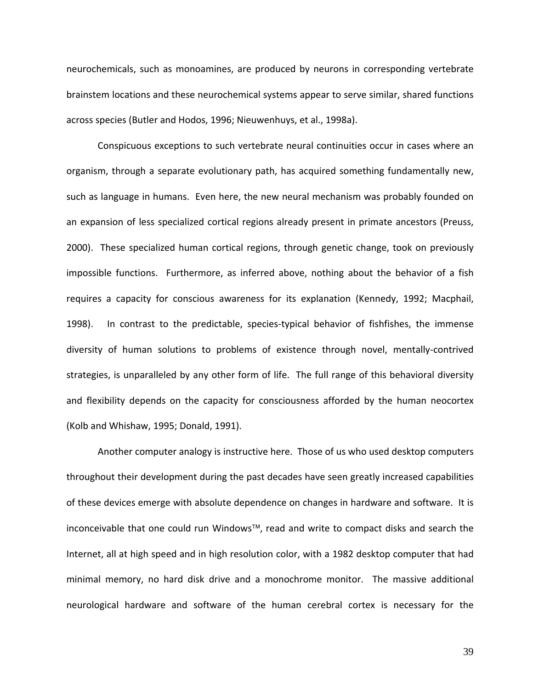neurochemicals, such as monoamines, are produced by neurons in corresponding vertebrate brainstem locations and these neurochemical systems appear to serve similar, shared functions across species (Butler and Hodos, 1996; Nieuwenhuys, et al., 1998a).

Conspicuous exceptions to such vertebrate neural continuities occur in cases where an organism, through a separate evolutionary path, has acquired something fundamentally new, such as language in humans. Even here, the new neural mechanism was probably founded on an expansion of less specialized cortical regions already present in primate ancestors (Preuss, 2000). These specialized human cortical regions, through genetic change, took on previously impossible functions. Furthermore, as inferred above, nothing about the behavior of a fish requires a capacity for conscious awareness for its explanation (Kennedy, 1992; Macphail, 1998). In contrast to the predictable, species-typical behavior of fishfishes, the immense diversity of human solutions to problems of existence through novel, mentally‐contrived strategies, is unparalleled by any other form of life. The full range of this behavioral diversity and flexibility depends on the capacity for consciousness afforded by the human neocortex (Kolb and Whishaw, 1995; Donald, 1991).

Another computer analogy is instructive here. Those of us who used desktop computers throughout their development during the past decades have seen greatly increased capabilities of these devices emerge with absolute dependence on changes in hardware and software. It is inconceivable that one could run Windows™, read and write to compact disks and search the Internet, all at high speed and in high resolution color, with a 1982 desktop computer that had minimal memory, no hard disk drive and a monochrome monitor. The massive additional neurological hardware and software of the human cerebral cortex is necessary for the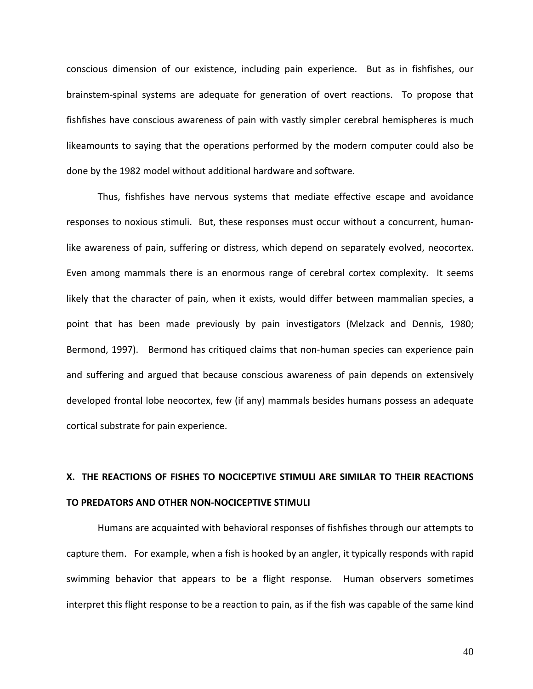conscious dimension of our existence, including pain experience. But as in fishfishes, our brainstem‐spinal systems are adequate for generation of overt reactions. To propose that fishfishes have conscious awareness of pain with vastly simpler cerebral hemispheres is much likeamounts to saying that the operations performed by the modern computer could also be done by the 1982 model without additional hardware and software.

Thus, fishfishes have nervous systems that mediate effective escape and avoidance responses to noxious stimuli. But, these responses must occur without a concurrent, human‐ like awareness of pain, suffering or distress, which depend on separately evolved, neocortex. Even among mammals there is an enormous range of cerebral cortex complexity. It seems likely that the character of pain, when it exists, would differ between mammalian species, a point that has been made previously by pain investigators (Melzack and Dennis, 1980; Bermond, 1997). Bermond has critiqued claims that non‐human species can experience pain and suffering and argued that because conscious awareness of pain depends on extensively developed frontal lobe neocortex, few (if any) mammals besides humans possess an adequate cortical substrate for pain experience.

### **X. THE REACTIONS OF FISHES TO NOCICEPTIVE STIMULI ARE SIMILAR TO THEIR REACTIONS TO PREDATORS AND OTHER NON‐NOCICEPTIVE STIMULI**

Humans are acquainted with behavioral responses of fishfishes through our attempts to capture them. For example, when a fish is hooked by an angler, it typically responds with rapid swimming behavior that appears to be a flight response. Human observers sometimes interpret this flight response to be a reaction to pain, as if the fish was capable of the same kind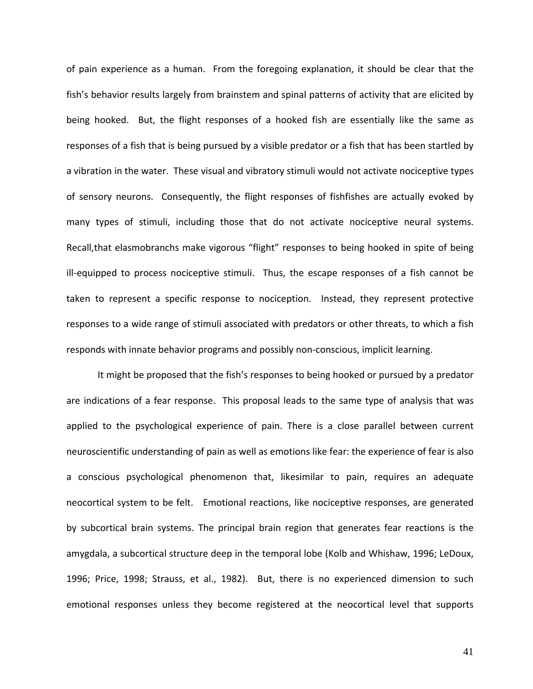of pain experience as a human. From the foregoing explanation, it should be clear that the fish's behavior results largely from brainstem and spinal patterns of activity that are elicited by being hooked. But, the flight responses of a hooked fish are essentially like the same as responses of a fish that is being pursued by a visible predator or a fish that has been startled by a vibration in the water. These visual and vibratory stimuli would not activate nociceptive types of sensory neurons. Consequently, the flight responses of fishfishes are actually evoked by many types of stimuli, including those that do not activate nociceptive neural systems. Recall,that elasmobranchs make vigorous "flight" responses to being hooked in spite of being ill-equipped to process nociceptive stimuli. Thus, the escape responses of a fish cannot be taken to represent a specific response to nociception. Instead, they represent protective responses to a wide range of stimuli associated with predators or other threats, to which a fish responds with innate behavior programs and possibly non‐conscious, implicit learning.

It might be proposed that the fish's responses to being hooked or pursued by a predator are indications of a fear response. This proposal leads to the same type of analysis that was applied to the psychological experience of pain. There is a close parallel between current neuroscientific understanding of pain as well as emotions like fear: the experience of fear is also a conscious psychological phenomenon that, likesimilar to pain, requires an adequate neocortical system to be felt. Emotional reactions, like nociceptive responses, are generated by subcortical brain systems. The principal brain region that generates fear reactions is the amygdala, a subcortical structure deep in the temporal lobe (Kolb and Whishaw, 1996; LeDoux, 1996; Price, 1998; Strauss, et al., 1982). But, there is no experienced dimension to such emotional responses unless they become registered at the neocortical level that supports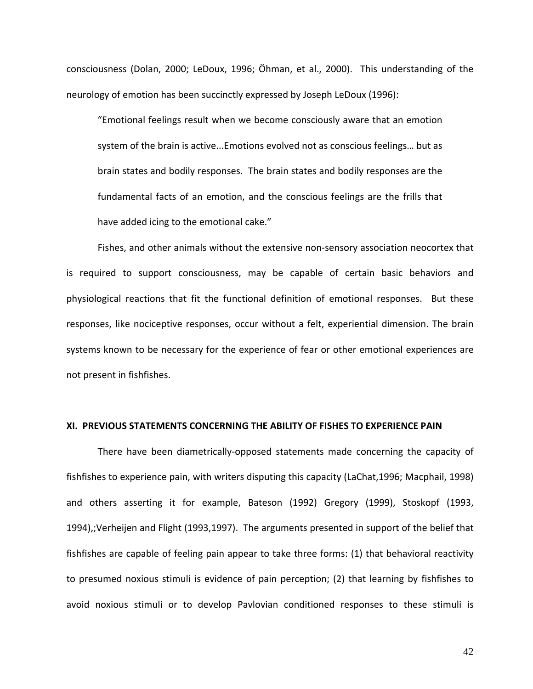consciousness (Dolan, 2000; LeDoux, 1996; Öhman, et al., 2000). This understanding of the neurology of emotion has been succinctly expressed by Joseph LeDoux (1996):

"Emotional feelings result when we become consciously aware that an emotion system of the brain is active...Emotions evolved not as conscious feelings… but as brain states and bodily responses. The brain states and bodily responses are the fundamental facts of an emotion, and the conscious feelings are the frills that have added icing to the emotional cake."

Fishes, and other animals without the extensive non‐sensory association neocortex that is required to support consciousness, may be capable of certain basic behaviors and physiological reactions that fit the functional definition of emotional responses. But these responses, like nociceptive responses, occur without a felt, experiential dimension. The brain systems known to be necessary for the experience of fear or other emotional experiences are not present in fishfishes.

#### **XI. PREVIOUS STATEMENTS CONCERNING THE ABILITY OF FISHES TO EXPERIENCE PAIN**

There have been diametrically-opposed statements made concerning the capacity of fishfishes to experience pain, with writers disputing this capacity (LaChat,1996; Macphail, 1998) and others asserting it for example, Bateson (1992) Gregory (1999), Stoskopf (1993, 1994),;Verheijen and Flight (1993,1997). The arguments presented in support of the belief that fishfishes are capable of feeling pain appear to take three forms: (1) that behavioral reactivity to presumed noxious stimuli is evidence of pain perception; (2) that learning by fishfishes to avoid noxious stimuli or to develop Pavlovian conditioned responses to these stimuli is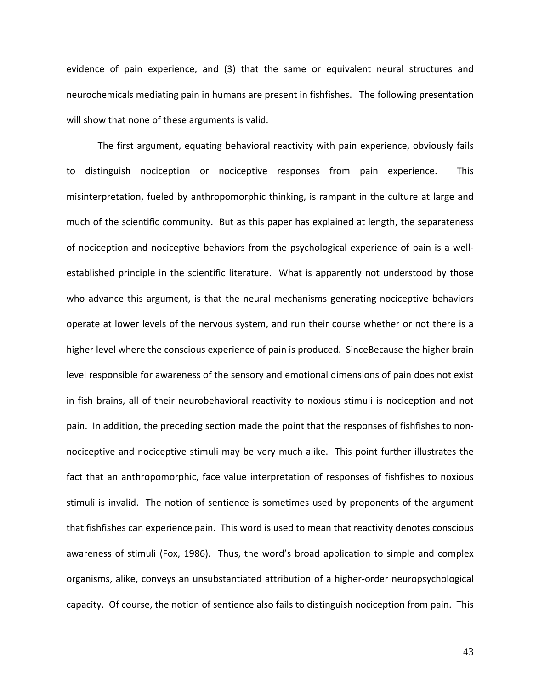evidence of pain experience, and (3) that the same or equivalent neural structures and neurochemicals mediating pain in humans are present in fishfishes. The following presentation will show that none of these arguments is valid.

The first argument, equating behavioral reactivity with pain experience, obviously fails to distinguish nociception or nociceptive responses from pain experience. This misinterpretation, fueled by anthropomorphic thinking, is rampant in the culture at large and much of the scientific community. But as this paper has explained at length, the separateness of nociception and nociceptive behaviors from the psychological experience of pain is a well‐ established principle in the scientific literature. What is apparently not understood by those who advance this argument, is that the neural mechanisms generating nociceptive behaviors operate at lower levels of the nervous system, and run their course whether or not there is a higher level where the conscious experience of pain is produced. SinceBecause the higher brain level responsible for awareness of the sensory and emotional dimensions of pain does not exist in fish brains, all of their neurobehavioral reactivity to noxious stimuli is nociception and not pain. In addition, the preceding section made the point that the responses of fishfishes to non‐ nociceptive and nociceptive stimuli may be very much alike. This point further illustrates the fact that an anthropomorphic, face value interpretation of responses of fishfishes to noxious stimuli is invalid. The notion of sentience is sometimes used by proponents of the argument that fishfishes can experience pain. This word is used to mean that reactivity denotes conscious awareness of stimuli (Fox, 1986). Thus, the word's broad application to simple and complex organisms, alike, conveys an unsubstantiated attribution of a higher‐order neuropsychological capacity. Of course, the notion of sentience also fails to distinguish nociception from pain. This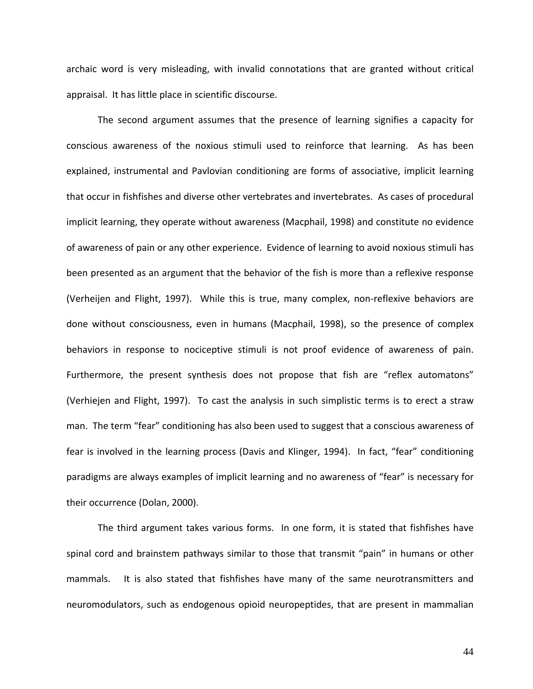archaic word is very misleading, with invalid connotations that are granted without critical appraisal. It has little place in scientific discourse.

The second argument assumes that the presence of learning signifies a capacity for conscious awareness of the noxious stimuli used to reinforce that learning. As has been explained, instrumental and Pavlovian conditioning are forms of associative, implicit learning that occur in fishfishes and diverse other vertebrates and invertebrates. As cases of procedural implicit learning, they operate without awareness (Macphail, 1998) and constitute no evidence of awareness of pain or any other experience. Evidence of learning to avoid noxious stimuli has been presented as an argument that the behavior of the fish is more than a reflexive response (Verheijen and Flight, 1997). While this is true, many complex, non‐reflexive behaviors are done without consciousness, even in humans (Macphail, 1998), so the presence of complex behaviors in response to nociceptive stimuli is not proof evidence of awareness of pain. Furthermore, the present synthesis does not propose that fish are "reflex automatons" (Verhiejen and Flight, 1997). To cast the analysis in such simplistic terms is to erect a straw man. The term "fear" conditioning has also been used to suggest that a conscious awareness of fear is involved in the learning process (Davis and Klinger, 1994). In fact, "fear" conditioning paradigms are always examples of implicit learning and no awareness of "fear" is necessary for their occurrence (Dolan, 2000).

The third argument takes various forms. In one form, it is stated that fishfishes have spinal cord and brainstem pathways similar to those that transmit "pain" in humans or other mammals. It is also stated that fishfishes have many of the same neurotransmitters and neuromodulators, such as endogenous opioid neuropeptides, that are present in mammalian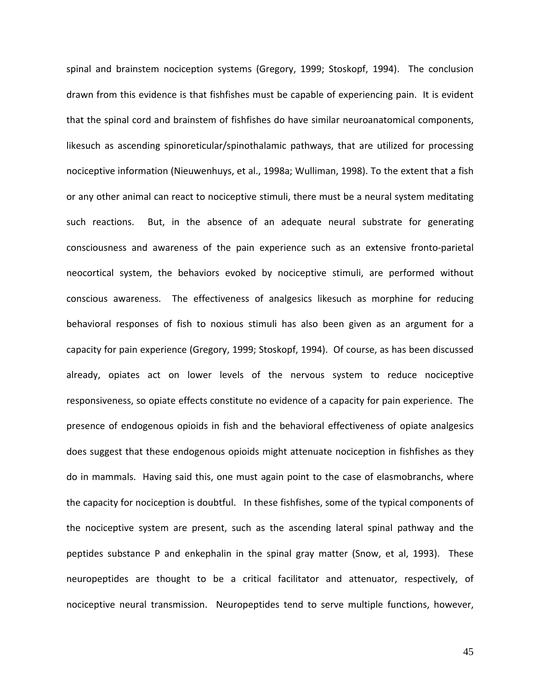spinal and brainstem nociception systems (Gregory, 1999; Stoskopf, 1994). The conclusion drawn from this evidence is that fishfishes must be capable of experiencing pain. It is evident that the spinal cord and brainstem of fishfishes do have similar neuroanatomical components, likesuch as ascending spinoreticular/spinothalamic pathways, that are utilized for processing nociceptive information (Nieuwenhuys, et al., 1998a; Wulliman, 1998). To the extent that a fish or any other animal can react to nociceptive stimuli, there must be a neural system meditating such reactions. But, in the absence of an adequate neural substrate for generating consciousness and awareness of the pain experience such as an extensive fronto‐parietal neocortical system, the behaviors evoked by nociceptive stimuli, are performed without conscious awareness. The effectiveness of analgesics likesuch as morphine for reducing behavioral responses of fish to noxious stimuli has also been given as an argument for a capacity for pain experience (Gregory, 1999; Stoskopf, 1994). Of course, as has been discussed already, opiates act on lower levels of the nervous system to reduce nociceptive responsiveness, so opiate effects constitute no evidence of a capacity for pain experience. The presence of endogenous opioids in fish and the behavioral effectiveness of opiate analgesics does suggest that these endogenous opioids might attenuate nociception in fishfishes as they do in mammals. Having said this, one must again point to the case of elasmobranchs, where the capacity for nociception is doubtful. In these fishfishes, some of the typical components of the nociceptive system are present, such as the ascending lateral spinal pathway and the peptides substance P and enkephalin in the spinal gray matter (Snow, et al, 1993). These neuropeptides are thought to be a critical facilitator and attenuator, respectively, of nociceptive neural transmission. Neuropeptides tend to serve multiple functions, however,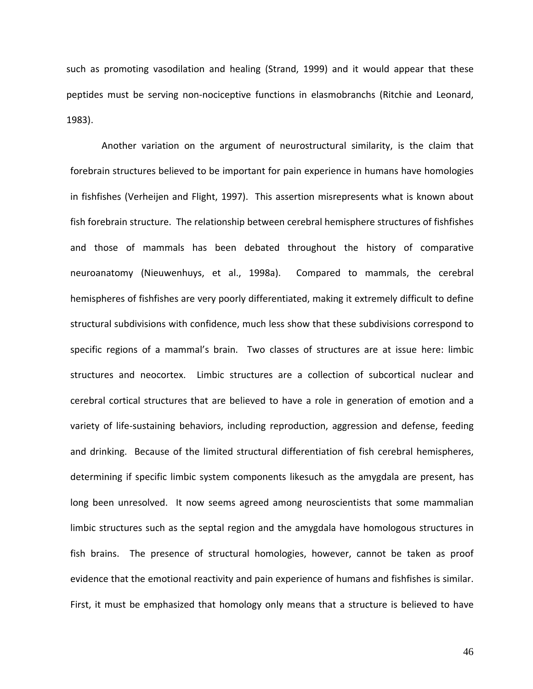such as promoting vasodilation and healing (Strand, 1999) and it would appear that these peptides must be serving non‐nociceptive functions in elasmobranchs (Ritchie and Leonard, 1983).

Another variation on the argument of neurostructural similarity, is the claim that forebrain structures believed to be important for pain experience in humans have homologies in fishfishes (Verheijen and Flight, 1997). This assertion misrepresents what is known about fish forebrain structure. The relationship between cerebral hemisphere structures of fishfishes and those of mammals has been debated throughout the history of comparative neuroanatomy (Nieuwenhuys, et al., 1998a). Compared to mammals, the cerebral hemispheres of fishfishes are very poorly differentiated, making it extremely difficult to define structural subdivisions with confidence, much less show that these subdivisions correspond to specific regions of a mammal's brain. Two classes of structures are at issue here: limbic structures and neocortex. Limbic structures are a collection of subcortical nuclear and cerebral cortical structures that are believed to have a role in generation of emotion and a variety of life-sustaining behaviors, including reproduction, aggression and defense, feeding and drinking. Because of the limited structural differentiation of fish cerebral hemispheres, determining if specific limbic system components likesuch as the amygdala are present, has long been unresolved. It now seems agreed among neuroscientists that some mammalian limbic structures such as the septal region and the amygdala have homologous structures in fish brains. The presence of structural homologies, however, cannot be taken as proof evidence that the emotional reactivity and pain experience of humans and fishfishes is similar. First, it must be emphasized that homology only means that a structure is believed to have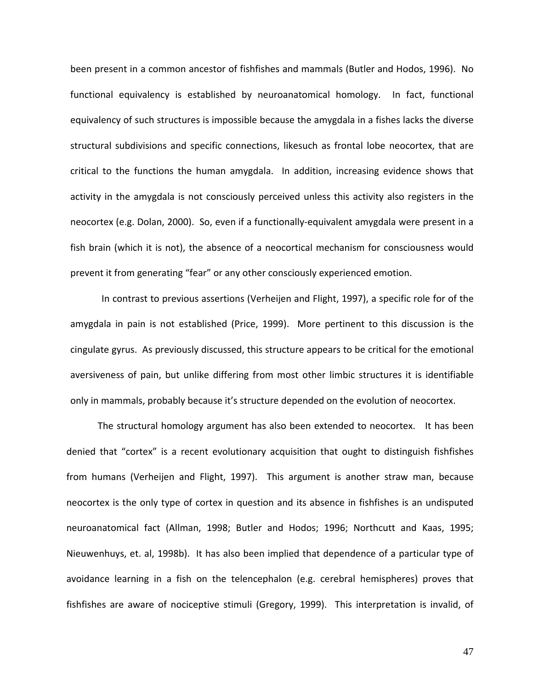been present in a common ancestor of fishfishes and mammals (Butler and Hodos, 1996). No functional equivalency is established by neuroanatomical homology. In fact, functional equivalency of such structures is impossible because the amygdala in a fishes lacks the diverse structural subdivisions and specific connections, likesuch as frontal lobe neocortex, that are critical to the functions the human amygdala. In addition, increasing evidence shows that activity in the amygdala is not consciously perceived unless this activity also registers in the neocortex (e.g. Dolan, 2000). So, even if a functionally-equivalent amygdala were present in a fish brain (which it is not), the absence of a neocortical mechanism for consciousness would prevent it from generating "fear" or any other consciously experienced emotion.

In contrast to previous assertions (Verheijen and Flight, 1997), a specific role for of the amygdala in pain is not established (Price, 1999). More pertinent to this discussion is the cingulate gyrus. As previously discussed, this structure appears to be critical for the emotional aversiveness of pain, but unlike differing from most other limbic structures it is identifiable only in mammals, probably because it's structure depended on the evolution of neocortex.

The structural homology argument has also been extended to neocortex. It has been denied that "cortex" is a recent evolutionary acquisition that ought to distinguish fishfishes from humans (Verheijen and Flight, 1997). This argument is another straw man, because neocortex is the only type of cortex in question and its absence in fishfishes is an undisputed neuroanatomical fact (Allman, 1998; Butler and Hodos; 1996; Northcutt and Kaas, 1995; Nieuwenhuys, et. al, 1998b). It has also been implied that dependence of a particular type of avoidance learning in a fish on the telencephalon (e.g. cerebral hemispheres) proves that fishfishes are aware of nociceptive stimuli (Gregory, 1999). This interpretation is invalid, of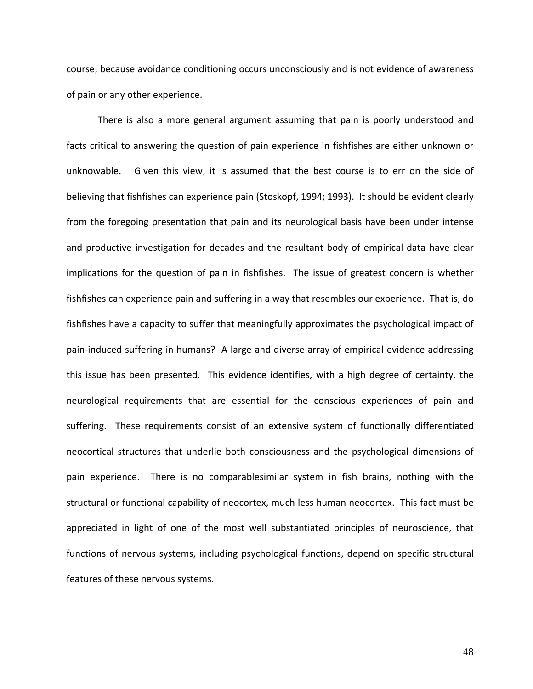course, because avoidance conditioning occurs unconsciously and is not evidence of awareness of pain or any other experience.

There is also a more general argument assuming that pain is poorly understood and facts critical to answering the question of pain experience in fishfishes are either unknown or unknowable. Given this view, it is assumed that the best course is to err on the side of believing that fishfishes can experience pain (Stoskopf, 1994; 1993). It should be evident clearly from the foregoing presentation that pain and its neurological basis have been under intense and productive investigation for decades and the resultant body of empirical data have clear implications for the question of pain in fishfishes. The issue of greatest concern is whether fishfishes can experience pain and suffering in a way that resembles our experience. That is, do fishfishes have a capacity to suffer that meaningfully approximates the psychological impact of pain‐induced suffering in humans? A large and diverse array of empirical evidence addressing this issue has been presented. This evidence identifies, with a high degree of certainty, the neurological requirements that are essential for the conscious experiences of pain and suffering. These requirements consist of an extensive system of functionally differentiated neocortical structures that underlie both consciousness and the psychological dimensions of pain experience. There is no comparablesimilar system in fish brains, nothing with the structural or functional capability of neocortex, much less human neocortex. This fact must be appreciated in light of one of the most well substantiated principles of neuroscience, that functions of nervous systems, including psychological functions, depend on specific structural features of these nervous systems.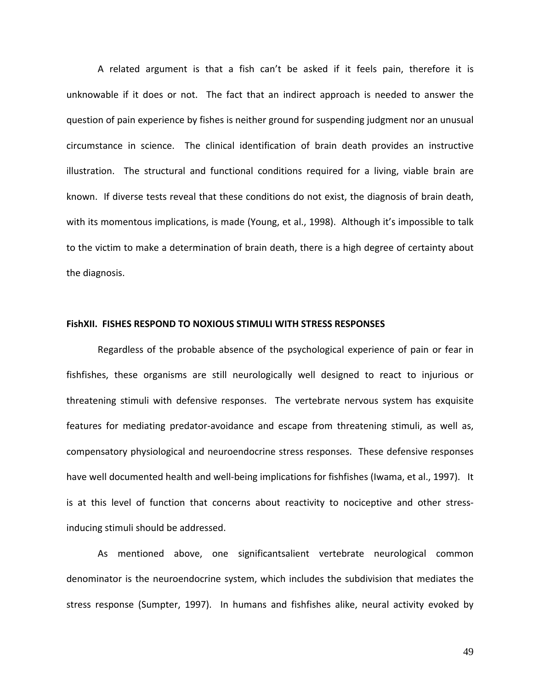A related argument is that a fish can't be asked if it feels pain, therefore it is unknowable if it does or not. The fact that an indirect approach is needed to answer the question of pain experience by fishes is neither ground for suspending judgment nor an unusual circumstance in science. The clinical identification of brain death provides an instructive illustration. The structural and functional conditions required for a living, viable brain are known. If diverse tests reveal that these conditions do not exist, the diagnosis of brain death, with its momentous implications, is made (Young, et al., 1998). Although it's impossible to talk to the victim to make a determination of brain death, there is a high degree of certainty about the diagnosis.

#### **FishXII. FISHES RESPOND TO NOXIOUS STIMULI WITH STRESS RESPONSES**

Regardless of the probable absence of the psychological experience of pain or fear in fishfishes, these organisms are still neurologically well designed to react to injurious or threatening stimuli with defensive responses. The vertebrate nervous system has exquisite features for mediating predator-avoidance and escape from threatening stimuli, as well as, compensatory physiological and neuroendocrine stress responses. These defensive responses have well documented health and well-being implications for fishfishes (Iwama, et al., 1997). It is at this level of function that concerns about reactivity to nociceptive and other stressinducing stimuli should be addressed.

As mentioned above, one significantsalient vertebrate neurological common denominator is the neuroendocrine system, which includes the subdivision that mediates the stress response (Sumpter, 1997). In humans and fishfishes alike, neural activity evoked by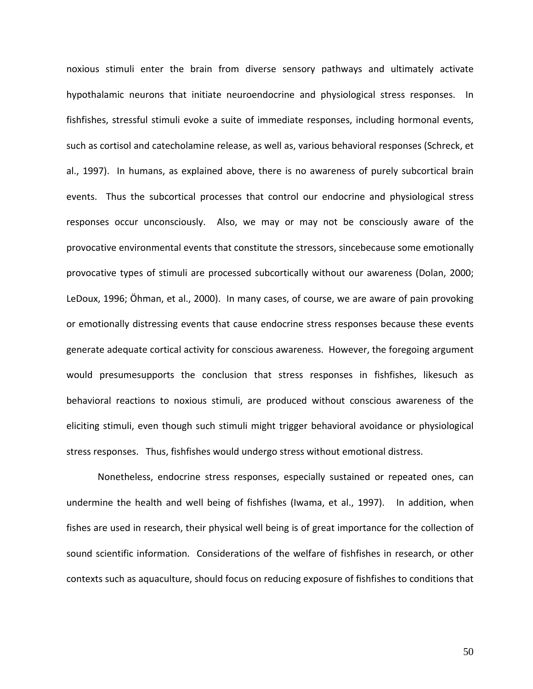noxious stimuli enter the brain from diverse sensory pathways and ultimately activate hypothalamic neurons that initiate neuroendocrine and physiological stress responses. In fishfishes, stressful stimuli evoke a suite of immediate responses, including hormonal events, such as cortisol and catecholamine release, as well as, various behavioral responses (Schreck, et al., 1997). In humans, as explained above, there is no awareness of purely subcortical brain events. Thus the subcortical processes that control our endocrine and physiological stress responses occur unconsciously. Also, we may or may not be consciously aware of the provocative environmental events that constitute the stressors, sincebecause some emotionally provocative types of stimuli are processed subcortically without our awareness (Dolan, 2000; LeDoux, 1996; Öhman, et al., 2000). In many cases, of course, we are aware of pain provoking or emotionally distressing events that cause endocrine stress responses because these events generate adequate cortical activity for conscious awareness. However, the foregoing argument would presumesupports the conclusion that stress responses in fishfishes, likesuch as behavioral reactions to noxious stimuli, are produced without conscious awareness of the eliciting stimuli, even though such stimuli might trigger behavioral avoidance or physiological stress responses. Thus, fishfishes would undergo stress without emotional distress.

Nonetheless, endocrine stress responses, especially sustained or repeated ones, can undermine the health and well being of fishfishes (Iwama, et al., 1997). In addition, when fishes are used in research, their physical well being is of great importance for the collection of sound scientific information. Considerations of the welfare of fishfishes in research, or other contexts such as aquaculture, should focus on reducing exposure of fishfishes to conditions that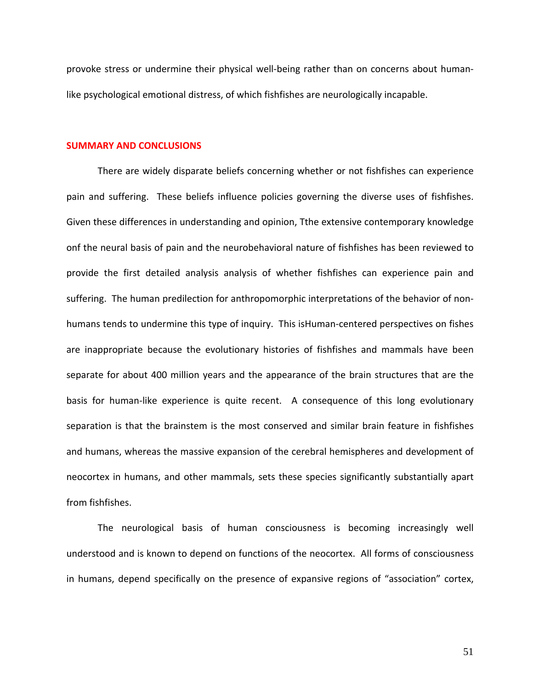provoke stress or undermine their physical well‐being rather than on concerns about human‐ like psychological emotional distress, of which fishfishes are neurologically incapable.

#### **SUMMARY AND CONCLUSIONS**

There are widely disparate beliefs concerning whether or not fishfishes can experience pain and suffering. These beliefs influence policies governing the diverse uses of fishfishes. Given these differences in understanding and opinion, Tthe extensive contemporary knowledge onf the neural basis of pain and the neurobehavioral nature of fishfishes has been reviewed to provide the first detailed analysis analysis of whether fishfishes can experience pain and suffering. The human predilection for anthropomorphic interpretations of the behavior of non‐ humans tends to undermine this type of inquiry. This isHuman-centered perspectives on fishes are inappropriate because the evolutionary histories of fishfishes and mammals have been separate for about 400 million years and the appearance of the brain structures that are the basis for human-like experience is quite recent. A consequence of this long evolutionary separation is that the brainstem is the most conserved and similar brain feature in fishfishes and humans, whereas the massive expansion of the cerebral hemispheres and development of neocortex in humans, and other mammals, sets these species significantly substantially apart from fishfishes.

The neurological basis of human consciousness is becoming increasingly well understood and is known to depend on functions of the neocortex. All forms of consciousness in humans, depend specifically on the presence of expansive regions of "association" cortex,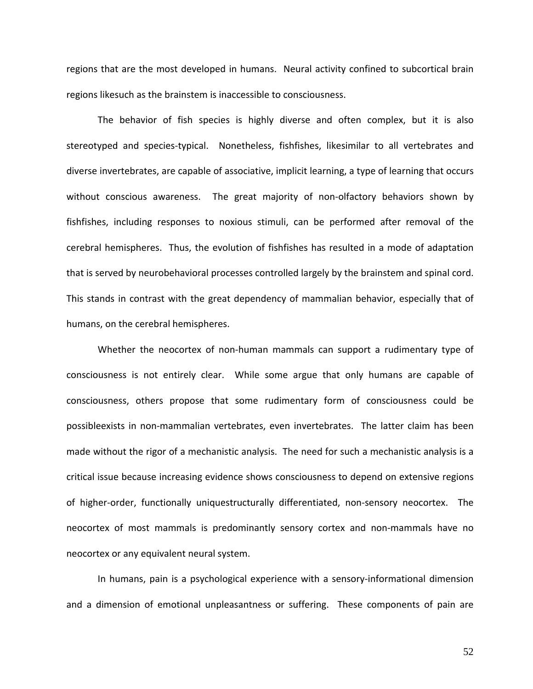regions that are the most developed in humans. Neural activity confined to subcortical brain regions likesuch as the brainstem is inaccessible to consciousness.

The behavior of fish species is highly diverse and often complex, but it is also stereotyped and species-typical. Nonetheless, fishfishes, likesimilar to all vertebrates and diverse invertebrates, are capable of associative, implicit learning, a type of learning that occurs without conscious awareness. The great majority of non-olfactory behaviors shown by fishfishes, including responses to noxious stimuli, can be performed after removal of the cerebral hemispheres. Thus, the evolution of fishfishes has resulted in a mode of adaptation that is served by neurobehavioral processes controlled largely by the brainstem and spinal cord. This stands in contrast with the great dependency of mammalian behavior, especially that of humans, on the cerebral hemispheres.

Whether the neocortex of non-human mammals can support a rudimentary type of consciousness is not entirely clear. While some argue that only humans are capable of consciousness, others propose that some rudimentary form of consciousness could be possibleexists in non-mammalian vertebrates, even invertebrates. The latter claim has been made without the rigor of a mechanistic analysis. The need for such a mechanistic analysis is a critical issue because increasing evidence shows consciousness to depend on extensive regions of higher-order, functionally uniquestructurally differentiated, non-sensory neocortex. The neocortex of most mammals is predominantly sensory cortex and non-mammals have no neocortex or any equivalent neural system.

In humans, pain is a psychological experience with a sensory‐informational dimension and a dimension of emotional unpleasantness or suffering. These components of pain are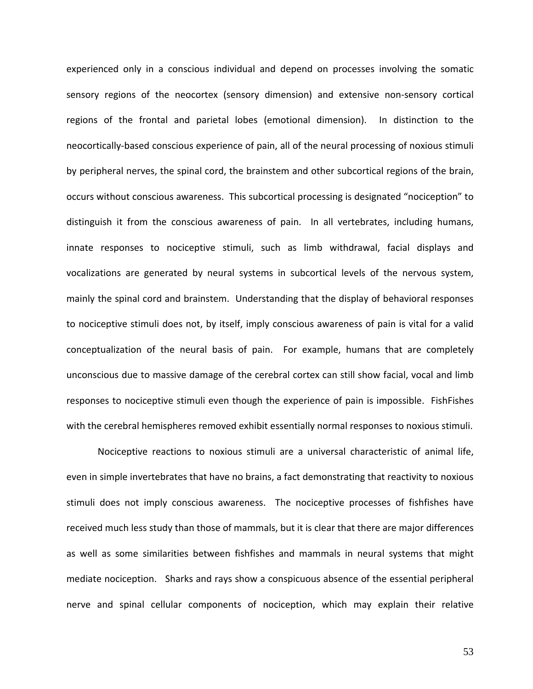experienced only in a conscious individual and depend on processes involving the somatic sensory regions of the neocortex (sensory dimension) and extensive non-sensory cortical regions of the frontal and parietal lobes (emotional dimension). In distinction to the neocortically‐based conscious experience of pain, all of the neural processing of noxious stimuli by peripheral nerves, the spinal cord, the brainstem and other subcortical regions of the brain, occurs without conscious awareness. This subcortical processing is designated "nociception" to distinguish it from the conscious awareness of pain. In all vertebrates, including humans, innate responses to nociceptive stimuli, such as limb withdrawal, facial displays and vocalizations are generated by neural systems in subcortical levels of the nervous system, mainly the spinal cord and brainstem. Understanding that the display of behavioral responses to nociceptive stimuli does not, by itself, imply conscious awareness of pain is vital for a valid conceptualization of the neural basis of pain. For example, humans that are completely unconscious due to massive damage of the cerebral cortex can still show facial, vocal and limb responses to nociceptive stimuli even though the experience of pain is impossible. FishFishes with the cerebral hemispheres removed exhibit essentially normal responses to noxious stimuli.

Nociceptive reactions to noxious stimuli are a universal characteristic of animal life, even in simple invertebrates that have no brains, a fact demonstrating that reactivity to noxious stimuli does not imply conscious awareness. The nociceptive processes of fishfishes have received much less study than those of mammals, but it is clear that there are major differences as well as some similarities between fishfishes and mammals in neural systems that might mediate nociception. Sharks and rays show a conspicuous absence of the essential peripheral nerve and spinal cellular components of nociception, which may explain their relative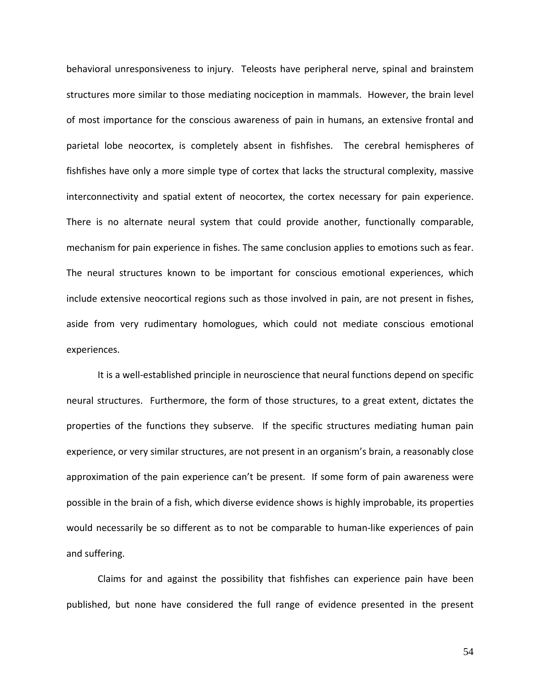behavioral unresponsiveness to injury. Teleosts have peripheral nerve, spinal and brainstem structures more similar to those mediating nociception in mammals. However, the brain level of most importance for the conscious awareness of pain in humans, an extensive frontal and parietal lobe neocortex, is completely absent in fishfishes. The cerebral hemispheres of fishfishes have only a more simple type of cortex that lacks the structural complexity, massive interconnectivity and spatial extent of neocortex, the cortex necessary for pain experience. There is no alternate neural system that could provide another, functionally comparable, mechanism for pain experience in fishes. The same conclusion applies to emotions such as fear. The neural structures known to be important for conscious emotional experiences, which include extensive neocortical regions such as those involved in pain, are not present in fishes, aside from very rudimentary homologues, which could not mediate conscious emotional experiences.

It is a well-established principle in neuroscience that neural functions depend on specific neural structures. Furthermore, the form of those structures, to a great extent, dictates the properties of the functions they subserve. If the specific structures mediating human pain experience, or very similar structures, are not present in an organism's brain, a reasonably close approximation of the pain experience can't be present. If some form of pain awareness were possible in the brain of a fish, which diverse evidence shows is highly improbable, its properties would necessarily be so different as to not be comparable to human-like experiences of pain and suffering.

Claims for and against the possibility that fishfishes can experience pain have been published, but none have considered the full range of evidence presented in the present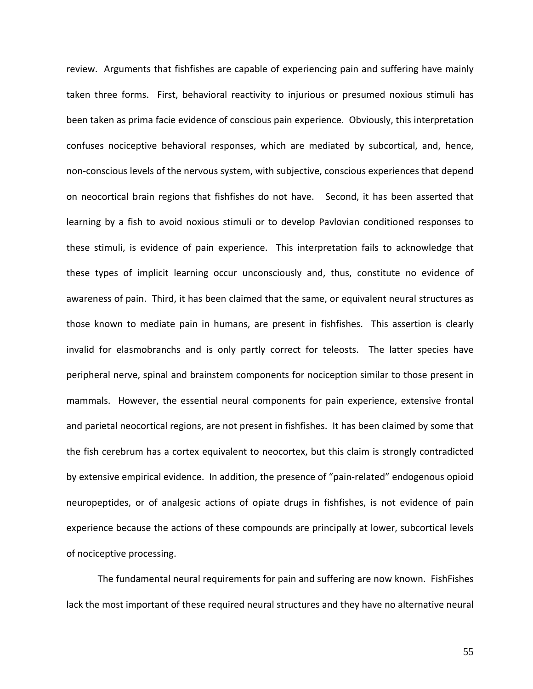review. Arguments that fishfishes are capable of experiencing pain and suffering have mainly taken three forms. First, behavioral reactivity to injurious or presumed noxious stimuli has been taken as prima facie evidence of conscious pain experience. Obviously, this interpretation confuses nociceptive behavioral responses, which are mediated by subcortical, and, hence, non‐conscious levels of the nervous system, with subjective, conscious experiences that depend on neocortical brain regions that fishfishes do not have. Second, it has been asserted that learning by a fish to avoid noxious stimuli or to develop Pavlovian conditioned responses to these stimuli, is evidence of pain experience. This interpretation fails to acknowledge that these types of implicit learning occur unconsciously and, thus, constitute no evidence of awareness of pain. Third, it has been claimed that the same, or equivalent neural structures as those known to mediate pain in humans, are present in fishfishes. This assertion is clearly invalid for elasmobranchs and is only partly correct for teleosts. The latter species have peripheral nerve, spinal and brainstem components for nociception similar to those present in mammals. However, the essential neural components for pain experience, extensive frontal and parietal neocortical regions, are not present in fishfishes. It has been claimed by some that the fish cerebrum has a cortex equivalent to neocortex, but this claim is strongly contradicted by extensive empirical evidence. In addition, the presence of "pain‐related" endogenous opioid neuropeptides, or of analgesic actions of opiate drugs in fishfishes, is not evidence of pain experience because the actions of these compounds are principally at lower, subcortical levels of nociceptive processing.

The fundamental neural requirements for pain and suffering are now known. FishFishes lack the most important of these required neural structures and they have no alternative neural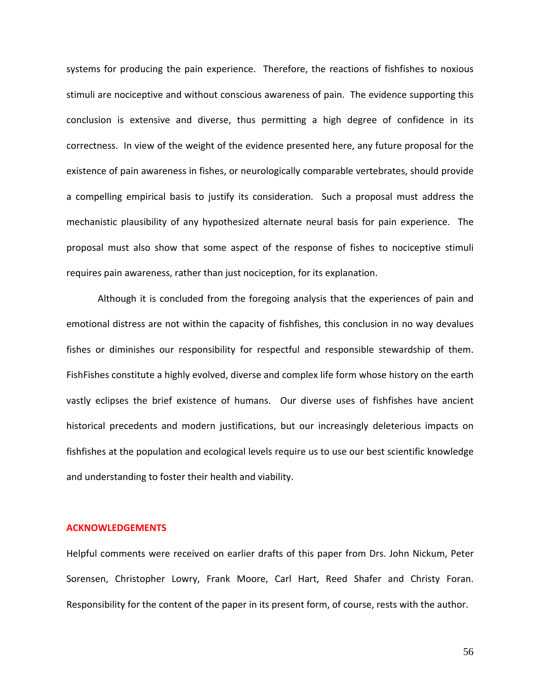systems for producing the pain experience. Therefore, the reactions of fishfishes to noxious stimuli are nociceptive and without conscious awareness of pain. The evidence supporting this conclusion is extensive and diverse, thus permitting a high degree of confidence in its correctness. In view of the weight of the evidence presented here, any future proposal for the existence of pain awareness in fishes, or neurologically comparable vertebrates, should provide a compelling empirical basis to justify its consideration. Such a proposal must address the mechanistic plausibility of any hypothesized alternate neural basis for pain experience. The proposal must also show that some aspect of the response of fishes to nociceptive stimuli requires pain awareness, rather than just nociception, for its explanation.

Although it is concluded from the foregoing analysis that the experiences of pain and emotional distress are not within the capacity of fishfishes, this conclusion in no way devalues fishes or diminishes our responsibility for respectful and responsible stewardship of them. FishFishes constitute a highly evolved, diverse and complex life form whose history on the earth vastly eclipses the brief existence of humans. Our diverse uses of fishfishes have ancient historical precedents and modern justifications, but our increasingly deleterious impacts on fishfishes at the population and ecological levels require us to use our best scientific knowledge and understanding to foster their health and viability.

#### **ACKNOWLEDGEMENTS**

Helpful comments were received on earlier drafts of this paper from Drs. John Nickum, Peter Sorensen, Christopher Lowry, Frank Moore, Carl Hart, Reed Shafer and Christy Foran. Responsibility for the content of the paper in its present form, of course, rests with the author.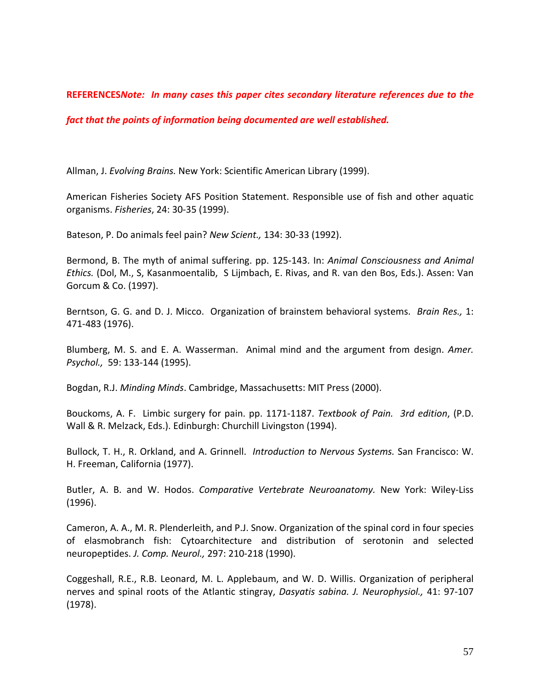#### **REFERENCES***Note: In many cases this paper cites secondary literature references due to the*

#### *fact that the points of information being documented are well established.*

Allman, J. *Evolving Brains.* New York: Scientific American Library (1999).

American Fisheries Society AFS Position Statement. Responsible use of fish and other aquatic organisms. *Fisheries*, 24: 30‐35 (1999).

Bateson, P. Do animals feel pain? *New Scient.,* 134: 30‐33 (1992).

Bermond, B. The myth of animal suffering. pp. 125‐143. In: *Animal Consciousness and Animal Ethics.* (Dol, M., S, Kasanmoentalib, S Lijmbach, E. Rivas, and R. van den Bos, Eds.). Assen: Van Gorcum & Co. (1997).

Berntson, G. G. and D. J. Micco. Organization of brainstem behavioral systems. *Brain Res.,* 1: 471‐483 (1976).

Blumberg, M. S. and E. A. Wasserman. Animal mind and the argument from design. *Amer. Psychol.,* 59: 133‐144 (1995).

Bogdan, R.J. *Minding Minds*. Cambridge, Massachusetts: MIT Press (2000).

Bouckoms, A. F. Limbic surgery for pain. pp. 1171‐1187. *Textbook of Pain. 3rd edition*, (P.D. Wall & R. Melzack, Eds.). Edinburgh: Churchill Livingston (1994).

Bullock, T. H., R. Orkland, and A. Grinnell. *Introduction to Nervous Systems.* San Francisco: W. H. Freeman, California (1977).

Butler, A. B. and W. Hodos. *Comparative Vertebrate Neuroanatomy.* New York: Wiley‐Liss (1996).

Cameron, A. A., M. R. Plenderleith, and P.J. Snow. Organization of the spinal cord in four species of elasmobranch fish: Cytoarchitecture and distribution of serotonin and selected neuropeptides. *J. Comp. Neurol.,* 297: 210‐218 (1990).

Coggeshall, R.E., R.B. Leonard, M. L. Applebaum, and W. D. Willis. Organization of peripheral nerves and spinal roots of the Atlantic stingray, *Dasyatis sabina. J. Neurophysiol.,* 41: 97‐107 (1978).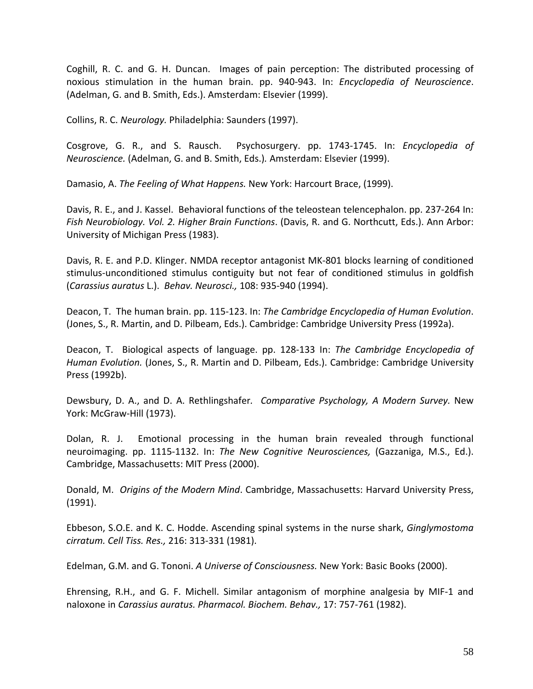Coghill, R. C. and G. H. Duncan. Images of pain perception: The distributed processing of noxious stimulation in the human brain. pp. 940‐943. In: *Encyclopedia of Neuroscience*. (Adelman, G. and B. Smith, Eds.). Amsterdam: Elsevier (1999).

Collins, R. C. *Neurology.* Philadelphia: Saunders (1997).

Cosgrove, G. R., and S. Rausch. Psychosurgery. pp. 1743‐1745. In: *Encyclopedia of Neuroscience.* (Adelman, G. and B. Smith, Eds.)*.* Amsterdam: Elsevier (1999).

Damasio, A. *The Feeling of What Happens.* New York: Harcourt Brace, (1999).

Davis, R. E., and J. Kassel. Behavioral functions of the teleostean telencephalon. pp. 237‐264 In: *Fish Neurobiology. Vol. 2. Higher Brain Functions*. (Davis, R. and G. Northcutt, Eds.). Ann Arbor: University of Michigan Press (1983).

Davis, R. E. and P.D. Klinger. NMDA receptor antagonist MK‐801 blocks learning of conditioned stimulus‐unconditioned stimulus contiguity but not fear of conditioned stimulus in goldfish (*Carassius auratus* L.). *Behav. Neurosci.,* 108: 935‐940 (1994).

Deacon, T. The human brain. pp. 115‐123. In: *The Cambridge Encyclopedia of Human Evolution*. (Jones, S., R. Martin, and D. Pilbeam, Eds.). Cambridge: Cambridge University Press (1992a).

Deacon, T. Biological aspects of language. pp. 128‐133 In: *The Cambridge Encyclopedia of Human Evolution.* (Jones, S., R. Martin and D. Pilbeam, Eds.). Cambridge: Cambridge University Press (1992b).

Dewsbury, D. A., and D. A. Rethlingshafer*. Comparative Psychology, A Modern Survey.* New York: McGraw‐Hill (1973).

Dolan, R. J. Emotional processing in the human brain revealed through functional neuroimaging. pp. 1115‐1132. In: *The New Cognitive Neurosciences,* (Gazzaniga, M.S., Ed.). Cambridge, Massachusetts: MIT Press (2000).

Donald, M. *Origins of the Modern Mind*. Cambridge, Massachusetts: Harvard University Press, (1991).

Ebbeson, S.O.E. and K. C. Hodde. Ascending spinal systems in the nurse shark, *Ginglymostoma cirratum. Cell Tiss. Res.,* 216: 313‐331 (1981).

Edelman, G.M. and G. Tononi. *A Universe of Consciousness.* New York: Basic Books (2000).

Ehrensing, R.H., and G. F. Michell. Similar antagonism of morphine analgesia by MIF‐1 and naloxone in *Carassius auratus. Pharmacol. Biochem. Behav.,* 17: 757‐761 (1982).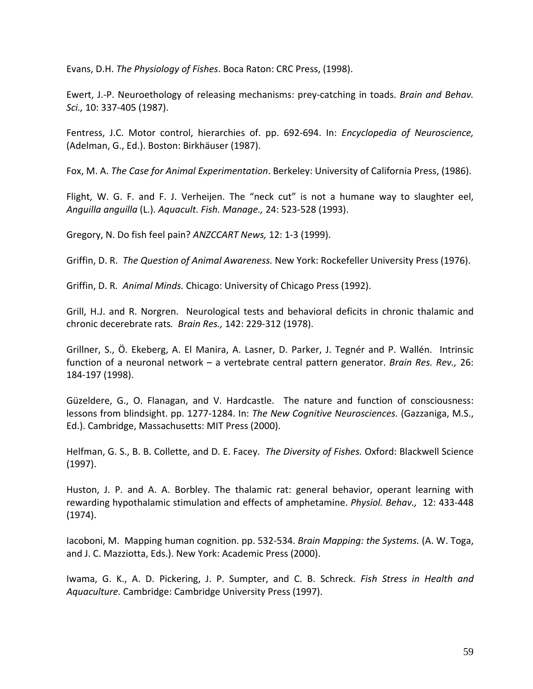Evans, D.H. *The Physiology of Fishes*. Boca Raton: CRC Press, (1998).

Ewert, J.‐P. Neuroethology of releasing mechanisms: prey‐catching in toads. *Brain and Behav. Sci.,* 10: 337‐405 (1987).

Fentress, J.C. Motor control, hierarchies of. pp. 692‐694. In: *Encyclopedia of Neuroscience,* (Adelman, G., Ed.). Boston: Birkhäuser (1987).

Fox, M. A. *The Case for Animal Experimentation*. Berkeley: University of California Press, (1986).

Flight, W. G. F. and F. J. Verheijen. The "neck cut" is not a humane way to slaughter eel, *Anguilla anguilla* (L.). *Aquacult. Fish. Manage.,* 24: 523‐528 (1993).

Gregory, N. Do fish feel pain? *ANZCCART News,* 12: 1‐3 (1999).

Griffin, D. R. *The Question of Animal Awareness.* New York: Rockefeller University Press (1976).

Griffin, D. R*. Animal Minds.* Chicago: University of Chicago Press (1992).

Grill, H.J. and R. Norgren. Neurological tests and behavioral deficits in chronic thalamic and chronic decerebrate rats*. Brain Res.,* 142: 229‐312 (1978).

Grillner, S., Ö. Ekeberg, A. El Manira, A. Lasner, D. Parker, J. Tegnér and P. Wallén. Intrinsic function of a neuronal network – a vertebrate central pattern generator. *Brain Res. Rev.,* 26: 184‐197 (1998).

Güzeldere, G., O. Flanagan, and V. Hardcastle. The nature and function of consciousness: lessons from blindsight. pp. 1277‐1284. In: *The New Cognitive Neurosciences.* (Gazzaniga, M.S., Ed.). Cambridge, Massachusetts: MIT Press (2000).

Helfman, G. S., B. B. Collette, and D. E. Facey. *The Diversity of Fishes.* Oxford: Blackwell Science (1997).

Huston, J. P. and A. A. Borbley. The thalamic rat: general behavior, operant learning with rewarding hypothalamic stimulation and effects of amphetamine. *Physiol. Behav.,* 12: 433‐448 (1974).

Iacoboni, M. Mapping human cognition. pp. 532‐534. *Brain Mapping: the Systems.* (A. W. Toga, and J. C. Mazziotta, Eds.). New York: Academic Press (2000).

Iwama, G. K., A. D. Pickering, J. P. Sumpter, and C. B. Schreck. *Fish Stress in Health and Aquaculture.* Cambridge: Cambridge University Press (1997).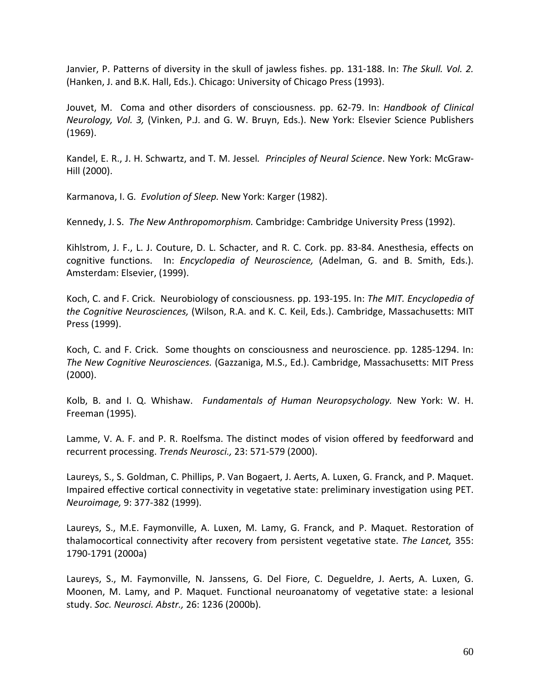Janvier, P. Patterns of diversity in the skull of jawless fishes. pp. 131‐188. In: *The Skull. Vol. 2.* (Hanken, J. and B.K. Hall, Eds.). Chicago: University of Chicago Press (1993).

Jouvet, M. Coma and other disorders of consciousness. pp. 62‐79. In: *Handbook of Clinical Neurology, Vol. 3,* (Vinken, P.J. and G. W. Bruyn, Eds.). New York: Elsevier Science Publishers (1969).

Kandel, E. R., J. H. Schwartz, and T. M. Jessel*. Principles of Neural Science*. New York: McGraw‐ Hill (2000).

Karmanova, I. G*. Evolution of Sleep.* New York: Karger (1982).

Kennedy, J. S. *The New Anthropomorphism.* Cambridge: Cambridge University Press (1992).

Kihlstrom, J. F., L. J. Couture, D. L. Schacter, and R. C. Cork. pp. 83‐84. Anesthesia, effects on cognitive functions. In: *Encyclopedia of Neuroscience,* (Adelman, G. and B. Smith, Eds.). Amsterdam: Elsevier, (1999).

Koch, C. and F. Crick. Neurobiology of consciousness. pp. 193‐195. In: *The MIT. Encyclopedia of the Cognitive Neurosciences,* (Wilson, R.A. and K. C. Keil, Eds.). Cambridge, Massachusetts: MIT Press (1999).

Koch, C. and F. Crick. Some thoughts on consciousness and neuroscience. pp. 1285‐1294. In: *The New Cognitive Neurosciences.* (Gazzaniga, M.S., Ed.). Cambridge, Massachusetts: MIT Press (2000).

Kolb, B. and I. Q. Whishaw. *Fundamentals of Human Neuropsychology.* New York: W. H. Freeman (1995).

Lamme, V. A. F. and P. R. Roelfsma. The distinct modes of vision offered by feedforward and recurrent processing. *Trends Neurosci.,* 23: 571‐579 (2000).

Laureys, S., S. Goldman, C. Phillips, P. Van Bogaert, J. Aerts, A. Luxen, G. Franck, and P. Maquet. Impaired effective cortical connectivity in vegetative state: preliminary investigation using PET. *Neuroimage,* 9: 377‐382 (1999).

Laureys, S., M.E. Faymonville, A. Luxen, M. Lamy, G. Franck, and P. Maquet. Restoration of thalamocortical connectivity after recovery from persistent vegetative state. *The Lancet,* 355: 1790‐1791 (2000a)

Laureys, S., M. Faymonville, N. Janssens, G. Del Fiore, C. Degueldre, J. Aerts, A. Luxen, G. Moonen, M. Lamy, and P. Maquet. Functional neuroanatomy of vegetative state: a lesional study. *Soc. Neurosci. Abstr.,* 26: 1236 (2000b).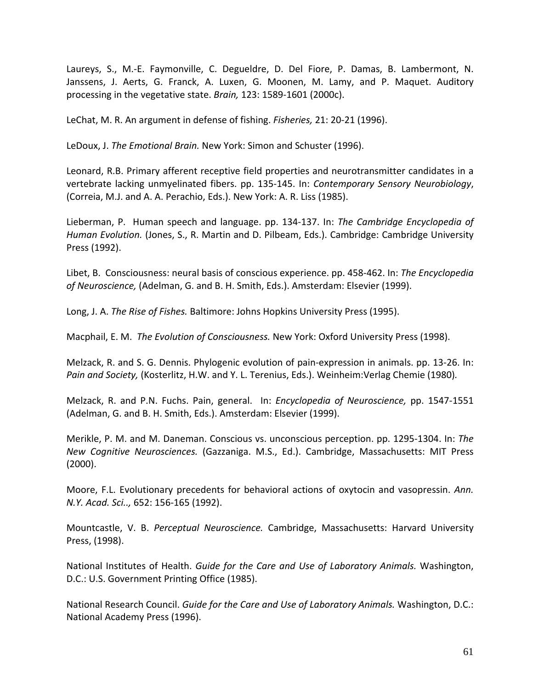Laureys, S., M.‐E. Faymonville, C. Degueldre, D. Del Fiore, P. Damas, B. Lambermont, N. Janssens, J. Aerts, G. Franck, A. Luxen, G. Moonen, M. Lamy, and P. Maquet. Auditory processing in the vegetative state. *Brain,* 123: 1589‐1601 (2000c).

LeChat, M. R. An argument in defense of fishing. *Fisheries,* 21: 20‐21 (1996).

LeDoux, J. *The Emotional Brain.* New York: Simon and Schuster (1996).

Leonard, R.B. Primary afferent receptive field properties and neurotransmitter candidates in a vertebrate lacking unmyelinated fibers. pp. 135‐145. In: *Contemporary Sensory Neurobiology*, (Correia, M.J. and A. A. Perachio, Eds.). New York: A. R. Liss (1985).

Lieberman, P. Human speech and language. pp. 134‐137. In: *The Cambridge Encyclopedia of Human Evolution.* (Jones, S., R. Martin and D. Pilbeam, Eds.). Cambridge: Cambridge University Press (1992).

Libet, B. Consciousness: neural basis of conscious experience. pp. 458‐462. In: *The Encyclopedia of Neuroscience,* (Adelman, G. and B. H. Smith, Eds.). Amsterdam: Elsevier (1999).

Long, J. A. *The Rise of Fishes.* Baltimore: Johns Hopkins University Press (1995).

Macphail, E. M. *The Evolution of Consciousness.* New York: Oxford University Press (1998).

Melzack, R. and S. G. Dennis. Phylogenic evolution of pain‐expression in animals. pp. 13‐26. In: *Pain and Society,* (Kosterlitz, H.W. and Y. L. Terenius, Eds.). Weinheim:Verlag Chemie (1980)*.*

Melzack, R. and P.N. Fuchs. Pain, general. In: *Encyclopedia of Neuroscience,* pp. 1547‐1551 (Adelman, G. and B. H. Smith, Eds.). Amsterdam: Elsevier (1999).

Merikle, P. M. and M. Daneman. Conscious vs. unconscious perception. pp. 1295‐1304. In: *The New Cognitive Neurosciences.* (Gazzaniga. M.S., Ed.). Cambridge, Massachusetts: MIT Press (2000).

Moore, F.L. Evolutionary precedents for behavioral actions of oxytocin and vasopressin. *Ann. N.Y. Acad. Sci..,* 652: 156‐165 (1992).

Mountcastle, V. B. *Perceptual Neuroscience.* Cambridge, Massachusetts: Harvard University Press, (1998).

National Institutes of Health. *Guide for the Care and Use of Laboratory Animals.* Washington, D.C.: U.S. Government Printing Office (1985).

National Research Council. *Guide for the Care and Use of Laboratory Animals.* Washington, D.C.: National Academy Press (1996).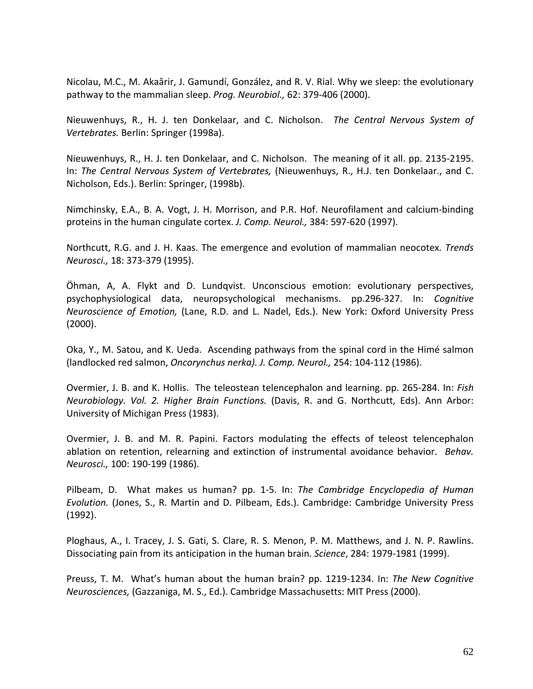Nicolau, M.C., M. Akaârir, J. Gamundí, González, and R. V. Rial. Why we sleep: the evolutionary pathway to the mammalian sleep. *Prog. Neurobiol.,* 62: 379‐406 (2000).

Nieuwenhuys, R., H. J. ten Donkelaar, and C. Nicholson. *The Central Nervous System of Vertebrates.* Berlin: Springer (1998a).

Nieuwenhuys, R., H. J. ten Donkelaar, and C. Nicholson. The meaning of it all. pp. 2135‐2195. In: *The Central Nervous System of Vertebrates,* (Nieuwenhuys, R., H.J. ten Donkelaar., and C. Nicholson, Eds.). Berlin: Springer, (1998b).

Nimchinsky, E.A., B. A. Vogt, J. H. Morrison, and P.R. Hof. Neurofilament and calcium‐binding proteins in the human cingulate cortex. *J. Comp. Neurol.,* 384: 597‐620 (1997).

Northcutt, R.G. and J. H. Kaas. The emergence and evolution of mammalian neocotex*. Trends Neurosci.,* 18: 373‐379 (1995).

Öhman, A, A. Flykt and D. Lundqvist. Unconscious emotion: evolutionary perspectives, psychophysiological data, neuropsychological mechanisms. pp.296‐327. In: *Cognitive Neuroscience of Emotion,* (Lane, R.D. and L. Nadel, Eds.). New York: Oxford University Press (2000).

Oka, Y., M. Satou, and K. Ueda. Ascending pathways from the spinal cord in the Himé salmon (landlocked red salmon, *Oncorynchus nerka). J. Comp. Neurol.,* 254: 104‐112 (1986).

Overmier, J. B. and K. Hollis. The teleostean telencephalon and learning. pp. 265‐284. In: *Fish Neurobiology. Vol. 2. Higher Brain Functions.* (Davis, R. and G. Northcutt, Eds). Ann Arbor: University of Michigan Press (1983).

Overmier, J. B. and M. R. Papini. Factors modulating the effects of teleost telencephalon ablation on retention, relearning and extinction of instrumental avoidance behavior. *Behav. Neurosci.,* 100: 190‐199 (1986).

Pilbeam, D. What makes us human? pp. 1‐5. In: *The Cambridge Encyclopedia of Human Evolution.* (Jones, S., R. Martin and D. Pilbeam, Eds.). Cambridge: Cambridge University Press (1992).

Ploghaus, A., I. Tracey, J. S. Gati, S. Clare, R. S. Menon, P. M. Matthews, and J. N. P. Rawlins. Dissociating pain from its anticipation in the human brain*. Science*, 284: 1979‐1981 (1999).

Preuss, T. M. What's human about the human brain? pp. 1219‐1234. In: *The New Cognitive Neurosciences,* (Gazzaniga, M. S., Ed.). Cambridge Massachusetts: MIT Press (2000).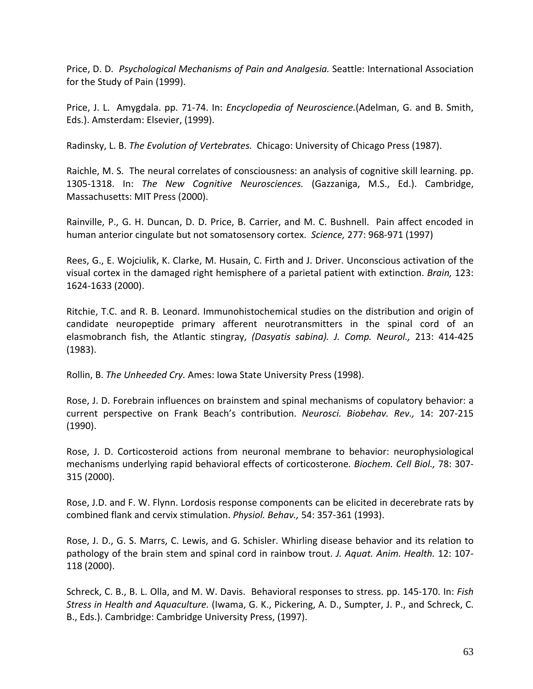Price, D. D. *Psychological Mechanisms of Pain and Analgesia.* Seattle: International Association for the Study of Pain (1999).

Price, J. L. Amygdala. pp. 71‐74. In: *Encyclopedia of Neuroscience.*(Adelman, G. and B. Smith, Eds.). Amsterdam: Elsevier, (1999).

Radinsky, L. B. *The Evolution of Vertebrates.* Chicago: University of Chicago Press (1987).

Raichle, M. S. The neural correlates of consciousness: an analysis of cognitive skill learning. pp. 1305‐1318. In: *The New Cognitive Neurosciences.* (Gazzaniga, M.S., Ed.). Cambridge, Massachusetts: MIT Press (2000).

Rainville, P., G. H. Duncan, D. D. Price, B. Carrier, and M. C. Bushnell. Pain affect encoded in human anterior cingulate but not somatosensory cortex. *Science,* 277: 968‐971 (1997)

Rees, G., E. Wojciulik, K. Clarke, M. Husain, C. Firth and J. Driver. Unconscious activation of the visual cortex in the damaged right hemisphere of a parietal patient with extinction. *Brain,* 123: 1624‐1633 (2000).

Ritchie, T.C. and R. B. Leonard. Immunohistochemical studies on the distribution and origin of candidate neuropeptide primary afferent neurotransmitters in the spinal cord of an elasmobranch fish, the Atlantic stingray, *(Dasyatis sabina). J. Comp. Neurol.,* 213: 414‐425 (1983).

Rollin, B. *The Unheeded Cry.* Ames: Iowa State University Press (1998).

Rose, J. D. Forebrain influences on brainstem and spinal mechanisms of copulatory behavior: a current perspective on Frank Beach's contribution. *Neurosci. Biobehav. Rev.,* 14: 207‐215 (1990).

Rose, J. D. Corticosteroid actions from neuronal membrane to behavior: neurophysiological mechanisms underlying rapid behavioral effects of corticosterone*. Biochem. Cell Biol.,* 78: 307‐ 315 (2000).

Rose, J.D. and F. W. Flynn. Lordosis response components can be elicited in decerebrate rats by combined flank and cervix stimulation. *Physiol. Behav.,* 54: 357‐361 (1993).

Rose, J. D., G. S. Marrs, C. Lewis, and G. Schisler. Whirling disease behavior and its relation to pathology of the brain stem and spinal cord in rainbow trout. *J. Aquat. Anim. Health.* 12: 107‐ 118 (2000).

Schreck, C. B., B. L. Olla, and M. W. Davis. Behavioral responses to stress. pp. 145‐170. In: *Fish Stress in Health and Aquaculture.* (Iwama, G. K., Pickering, A. D., Sumpter, J. P., and Schreck, C. B., Eds.). Cambridge: Cambridge University Press, (1997).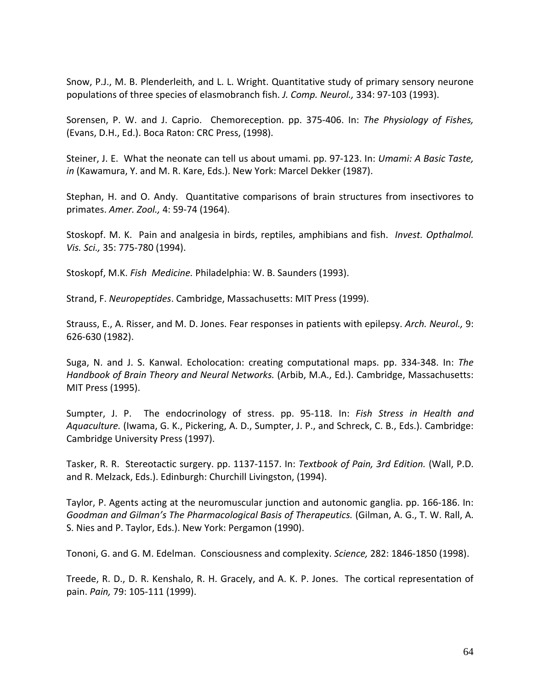Snow, P.J., M. B. Plenderleith, and L. L. Wright. Quantitative study of primary sensory neurone populations of three species of elasmobranch fish. *J. Comp. Neurol.,* 334: 97‐103 (1993).

Sorensen, P. W. and J. Caprio. Chemoreception. pp. 375‐406. In: *The Physiology of Fishes,* (Evans, D.H., Ed.). Boca Raton: CRC Press, (1998).

Steiner, J. E. What the neonate can tell us about umami. pp. 97‐123. In: *Umami: A Basic Taste, in* (Kawamura, Y. and M. R. Kare, Eds.). New York: Marcel Dekker (1987).

Stephan, H. and O. Andy. Quantitative comparisons of brain structures from insectivores to primates. *Amer. Zool.,* 4: 59‐74 (1964).

Stoskopf. M. K. Pain and analgesia in birds, reptiles, amphibians and fish. *Invest. Opthalmol. Vis. Sci.,* 35: 775‐780 (1994).

Stoskopf, M.K. *Fish Medicine.* Philadelphia: W. B. Saunders (1993).

Strand, F. *Neuropeptides*. Cambridge, Massachusetts: MIT Press (1999).

Strauss, E., A. Risser, and M. D. Jones. Fear responses in patients with epilepsy. *Arch. Neurol.,* 9: 626‐630 (1982).

Suga, N. and J. S. Kanwal. Echolocation: creating computational maps. pp. 334‐348. In: *The Handbook of Brain Theory and Neural Networks.* (Arbib, M.A., Ed.). Cambridge, Massachusetts: MIT Press (1995).

Sumpter, J. P. The endocrinology of stress. pp. 95‐118. In: *Fish Stress in Health and Aquaculture.* (Iwama, G. K., Pickering, A. D., Sumpter, J. P., and Schreck, C. B., Eds.). Cambridge: Cambridge University Press (1997).

Tasker, R. R. Stereotactic surgery. pp. 1137‐1157. In: *Textbook of Pain, 3rd Edition.* (Wall, P.D. and R. Melzack, Eds.). Edinburgh: Churchill Livingston, (1994).

Taylor, P. Agents acting at the neuromuscular junction and autonomic ganglia. pp. 166‐186. In: *Goodman and Gilman's The Pharmacological Basis of Therapeutics.* (Gilman, A. G., T. W. Rall, A. S. Nies and P. Taylor, Eds.). New York: Pergamon (1990).

Tononi, G. and G. M. Edelman. Consciousness and complexity. *Science,* 282: 1846‐1850 (1998).

Treede, R. D., D. R. Kenshalo, R. H. Gracely, and A. K. P. Jones. The cortical representation of pain. *Pain,* 79: 105‐111 (1999).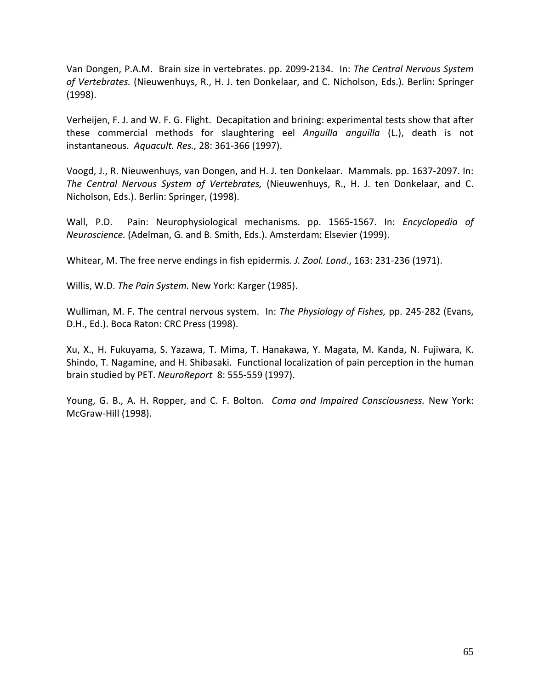Van Dongen, P.A.M. Brain size in vertebrates. pp. 2099‐2134. In: *The Central Nervous System of Vertebrates.* (Nieuwenhuys, R., H. J. ten Donkelaar, and C. Nicholson, Eds.). Berlin: Springer (1998).

Verheijen, F. J. and W. F. G. Flight. Decapitation and brining: experimental tests show that after these commercial methods for slaughtering eel *Anguilla anguilla* (L.), death is not instantaneous. *Aquacult. Res.,* 28: 361‐366 (1997).

Voogd, J., R. Nieuwenhuys, van Dongen, and H. J. ten Donkelaar. Mammals. pp. 1637‐2097. In: *The Central Nervous System of Vertebrates,* (Nieuwenhuys, R., H. J. ten Donkelaar, and C. Nicholson, Eds.). Berlin: Springer, (1998).

Wall, P.D. Pain: Neurophysiological mechanisms. pp. 1565‐1567. In: *Encyclopedia of Neuroscience.* (Adelman, G. and B. Smith, Eds.). Amsterdam: Elsevier (1999).

Whitear, M. The free nerve endings in fish epidermis. *J. Zool. Lond*., 163: 231‐236 (1971).

Willis, W.D. *The Pain System.* New York: Karger (1985).

Wulliman, M. F. The central nervous system. In: *The Physiology of Fishes,* pp. 245‐282 (Evans, D.H., Ed.). Boca Raton: CRC Press (1998).

Xu, X., H. Fukuyama, S. Yazawa, T. Mima, T. Hanakawa, Y. Magata, M. Kanda, N. Fujiwara, K. Shindo, T. Nagamine, and H. Shibasaki. Functional localization of pain perception in the human brain studied by PET. *NeuroReport* 8: 555‐559 (1997).

Young, G. B., A. H. Ropper, and C. F. Bolton. *Coma and Impaired Consciousness.* New York: McGraw‐Hill (1998).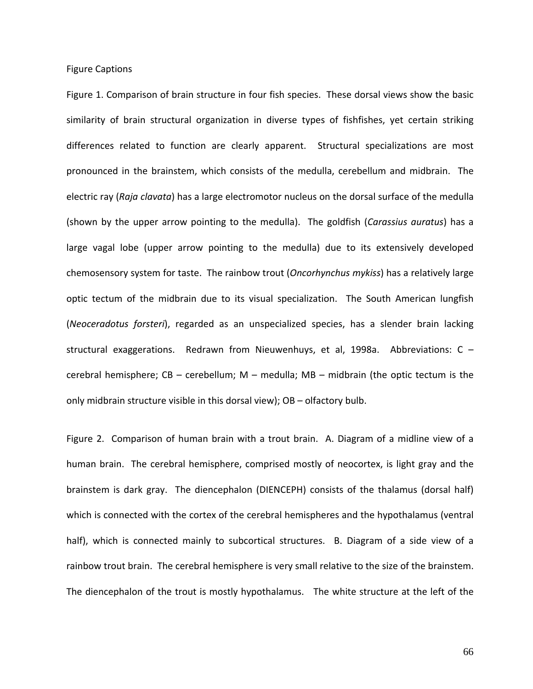Figure Captions

Figure 1. Comparison of brain structure in four fish species. These dorsal views show the basic similarity of brain structural organization in diverse types of fishfishes, yet certain striking differences related to function are clearly apparent. Structural specializations are most pronounced in the brainstem, which consists of the medulla, cerebellum and midbrain. The electric ray (*Raja clavata*) has a large electromotor nucleus on the dorsal surface of the medulla (shown by the upper arrow pointing to the medulla). The goldfish (*Carassius auratus*) has a large vagal lobe (upper arrow pointing to the medulla) due to its extensively developed chemosensory system for taste. The rainbow trout (*Oncorhynchus mykiss*) has a relatively large optic tectum of the midbrain due to its visual specialization. The South American lungfish (*Neoceradotus forsteri*), regarded as an unspecialized species, has a slender brain lacking structural exaggerations. Redrawn from Nieuwenhuys, et al, 1998a. Abbreviations:  $C$ cerebral hemisphere;  $CB - cerebellum$ ;  $M - medulla$ ;  $MB - midbrain$  (the optic tectum is the only midbrain structure visible in this dorsal view); OB – olfactory bulb.

Figure 2. Comparison of human brain with a trout brain. A. Diagram of a midline view of a human brain. The cerebral hemisphere, comprised mostly of neocortex, is light gray and the brainstem is dark gray. The diencephalon (DIENCEPH) consists of the thalamus (dorsal half) which is connected with the cortex of the cerebral hemispheres and the hypothalamus (ventral half), which is connected mainly to subcortical structures. B. Diagram of a side view of a rainbow trout brain. The cerebral hemisphere is very small relative to the size of the brainstem. The diencephalon of the trout is mostly hypothalamus. The white structure at the left of the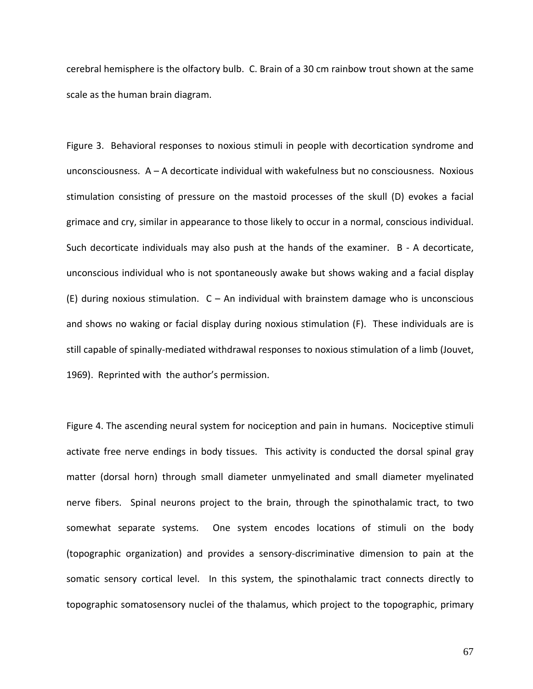cerebral hemisphere is the olfactory bulb. C. Brain of a 30 cm rainbow trout shown at the same scale as the human brain diagram.

Figure 3. Behavioral responses to noxious stimuli in people with decortication syndrome and unconsciousness. A – A decorticate individual with wakefulness but no consciousness. Noxious stimulation consisting of pressure on the mastoid processes of the skull (D) evokes a facial grimace and cry, similar in appearance to those likely to occur in a normal, conscious individual. Such decorticate individuals may also push at the hands of the examiner. B - A decorticate, unconscious individual who is not spontaneously awake but shows waking and a facial display (E) during noxious stimulation.  $C - An$  individual with brainstem damage who is unconscious and shows no waking or facial display during noxious stimulation (F). These individuals are is still capable of spinally‐mediated withdrawal responses to noxious stimulation of a limb (Jouvet, 1969). Reprinted with the author's permission.

Figure 4. The ascending neural system for nociception and pain in humans. Nociceptive stimuli activate free nerve endings in body tissues. This activity is conducted the dorsal spinal gray matter (dorsal horn) through small diameter unmyelinated and small diameter myelinated nerve fibers. Spinal neurons project to the brain, through the spinothalamic tract, to two somewhat separate systems. One system encodes locations of stimuli on the body (topographic organization) and provides a sensory‐discriminative dimension to pain at the somatic sensory cortical level. In this system, the spinothalamic tract connects directly to topographic somatosensory nuclei of the thalamus, which project to the topographic, primary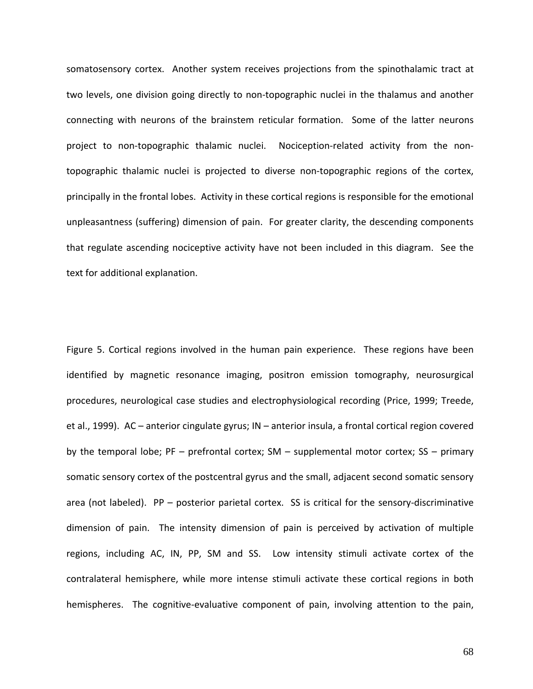somatosensory cortex. Another system receives projections from the spinothalamic tract at two levels, one division going directly to non-topographic nuclei in the thalamus and another connecting with neurons of the brainstem reticular formation. Some of the latter neurons project to non-topographic thalamic nuclei. Nociception-related activity from the nontopographic thalamic nuclei is projected to diverse non‐topographic regions of the cortex, principally in the frontal lobes. Activity in these cortical regions is responsible for the emotional unpleasantness (suffering) dimension of pain. For greater clarity, the descending components that regulate ascending nociceptive activity have not been included in this diagram. See the text for additional explanation.

Figure 5. Cortical regions involved in the human pain experience. These regions have been identified by magnetic resonance imaging, positron emission tomography, neurosurgical procedures, neurological case studies and electrophysiological recording (Price, 1999; Treede, et al., 1999). AC – anterior cingulate gyrus; IN – anterior insula, a frontal cortical region covered by the temporal lobe; PF – prefrontal cortex; SM – supplemental motor cortex; SS – primary somatic sensory cortex of the postcentral gyrus and the small, adjacent second somatic sensory area (not labeled). PP – posterior parietal cortex. SS is critical for the sensory-discriminative dimension of pain. The intensity dimension of pain is perceived by activation of multiple regions, including AC, IN, PP, SM and SS. Low intensity stimuli activate cortex of the contralateral hemisphere, while more intense stimuli activate these cortical regions in both hemispheres. The cognitive-evaluative component of pain, involving attention to the pain,